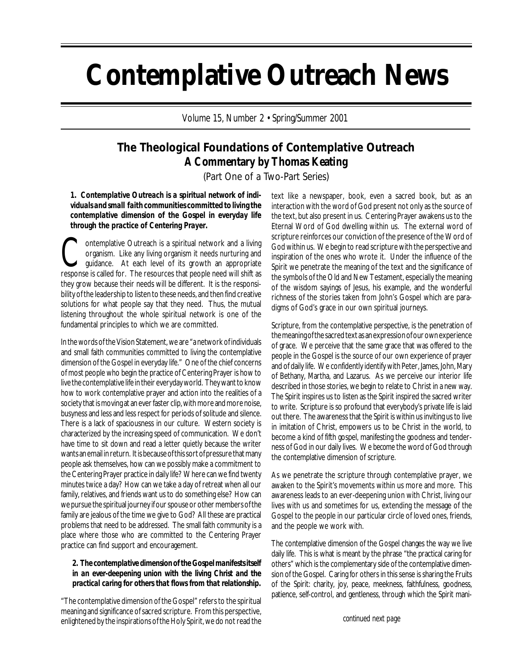# **Contemplative Outreach News**

Volume 15, Number 2 • Spring/Summer 2001

## **The Theological Foundations of Contemplative Outreach A Commentary by Thomas Keating**

(Part One of a Two-Part Series)

*1. Contemplative Outreach is a spiritual network of individuals and small faith communities committed to living the contemplative dimension of the Gospel in everyday life through the practice of Centering Prayer.*

**Contemplative Outreach is a spiritual network and a living organism.** Like any living organism it needs nurturing and quidance. At each level of its growth an appropriate organism. Like any living organism it needs nurturing and guidance. At each level of its growth an appropriate response is called for. The resources that people need will shift as they grow because their needs will be different. It is the responsibility of the leadership to listen to these needs, and then find creative solutions for what people say that they need. Thus, the mutual listening throughout the whole spiritual network is one of the fundamental principles to which we are committed.

In the words of the Vision Statement, we are "a network of individuals and small faith communities committed to living the contemplative dimension of the Gospel in everyday life." One of the chief concerns of most people who begin the practice of Centering Prayer is how to live the contemplative life in their everyday world. They want to know how to work contemplative prayer and action into the realities of a society that is moving at an ever faster clip, with more and more noise, busyness and less and less respect for periods of solitude and silence. There is a lack of spaciousness in our culture. Western society is characterized by the increasing speed of communication. We don't have time to sit down and read a letter quietly because the writer wants an email in return. It is because of this sort of pressure that many people ask themselves, how can we possibly make a commitment to the Centering Prayer practice in daily life? Where can we find twenty minutes twice a day? How can we take a day of retreat when all our family, relatives, and friends want us to do something else? How can we pursue the spiritual journey if our spouse or other members of the family are jealous of the time we give to God? All these are practical problems that need to be addressed. The small faith community is a place where those who are committed to the Centering Prayer practice can find support and encouragement.

#### *2. The contemplative dimension of the Gospel manifests itself in an ever-deepening union with the living Christ and the practical caring for others that flows from that relationship.*

"The contemplative dimension of the Gospel" refers to the spiritual meaning and significance of sacred scripture. From this perspective, enlightened by the inspirations of the Holy Spirit, we do not read the text like a newspaper, book, even a sacred book, but as an interaction with the word of God present not only as the source of the text, but also present in us. Centering Prayer awakens us to the Eternal Word of God dwelling within us. The external word of scripture reinforces our conviction of the presence of the Word of God within us. We begin to read scripture with the perspective and inspiration of the ones who wrote it. Under the influence of the Spirit we penetrate the meaning of the text and the significance of the symbols of the Old and New Testament, especially the meaning of the wisdom sayings of Jesus, his example, and the wonderful richness of the stories taken from John's Gospel which are paradigms of God's grace in our own spiritual journeys.

Scripture, from the contemplative perspective, is the penetration of the meaning of the sacred text as an expression of our own experience of grace. We perceive that the same grace that was offered to the people in the Gospel is the source of our own experience of prayer and of daily life. We confidently identify with Peter, James, John, Mary of Bethany, Martha, and Lazarus. As we perceive our interior life described in those stories, we begin to relate to Christ in a new way. The Spirit inspires us to listen as the Spirit inspired the sacred writer to write. Scripture is so profound that everybody's private life is laid out there. The awareness that the Spirit is within us inviting us to live in imitation of Christ, empowers us to be Christ in the world, to become a kind of fifth gospel, manifesting the goodness and tenderness of God in our daily lives. We *become* the word of God through the contemplative dimension of scripture.

As we penetrate the scripture through contemplative prayer, we awaken to the Spirit's movements within us more and more. This awareness leads to an ever-deepening union with Christ, living our lives with us and sometimes for us, extending the message of the Gospel to the people in our particular circle of loved ones, friends, and the people we work with.

The contemplative dimension of the Gospel changes the way we live daily life. This is what is meant by the phrase "the practical caring for others" which is the complementary side of the contemplative dimension of the Gospel. Caring for others in this sense is sharing the Fruits of the Spirit: charity, joy, peace, meekness, faithfulness, goodness, patience, self-control, and gentleness, through which the Spirit mani-

*continued next page*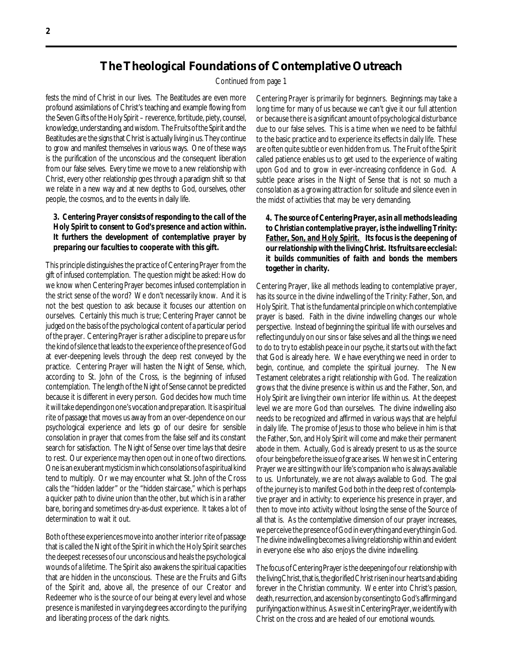## **The Theological Foundations of Contemplative Outreach**

Continued from page 1

fests the mind of Christ in our lives. The Beatitudes are even more profound assimilations of Christ's teaching and example flowing from the Seven Gifts of the Holy Spirit – reverence, fortitude, piety, counsel, knowledge, understanding, and wisdom. The Fruits of the Spirit and the Beatitudes are the signs that Christ is actually living in us. They continue to grow and manifest themselves in various ways. One of these ways is the purification of the unconscious and the consequent liberation from our false selves. Every time we move to a new relationship with Christ, every other relationship goes through a paradigm shift so that we relate in a new way and at new depths to God, ourselves, other people, the cosmos, and to the events in daily life.

#### *3. Centering Prayer consists of responding to the call of the Holy Spirit to consent to God's presence and action within. It furthers the development of contemplative prayer by preparing our faculties to cooperate with this gift.*

This principle distinguishes the practice of Centering Prayer from the gift of infused contemplation. The question might be asked: How do we know when Centering Prayer becomes infused contemplation in the strict sense of the word? We don't necessarily know. And it is not the best question to ask because it focuses our attention on ourselves. Certainly this much is true; Centering Prayer cannot be judged on the basis of the psychological content of a particular period of the prayer. Centering Prayer is rather a discipline to prepare us for the kind of silence that leads to the experience of the presence of God at ever-deepening levels through the deep rest conveyed by the practice. Centering Prayer will hasten the Night of Sense, which, according to St. John of the Cross, is the beginning of infused contemplation. The length of the Night of Sense cannot be predicted because it is different in every person. God decides how much time it will take depending on one's vocation and preparation. It is a spiritual rite of passage that moves us away from an over-dependence on our psychological experience and lets go of our desire for sensible consolation in prayer that comes from the false self and its constant search for satisfaction. The Night of Sense over time lays that desire to rest. Our experience may then open out in one of two directions. One is an exuberant mysticism in which consolations of a spiritual kind tend to multiply. Or we may encounter what St. John of the Cross calls the "hidden ladder" or the "hidden staircase," which is perhaps a quicker path to divine union than the other, but which is in a rather bare, boring and sometimes dry-as-dust experience. It takes a lot of determination to wait it out.

Both of these experiences move into another interior rite of passage that is called the Night of the Spirit in which the Holy Spirit searches the deepest recesses of our unconscious and heals the psychological wounds of a lifetime. The Spirit also awakens the spiritual capacities that are hidden in the unconscious. These are the Fruits and Gifts of the Spirit and, above all, the presence of our Creator and Redeemer who is the source of our being at every level and whose presence is manifested in varying degrees according to the purifying and liberating process of the dark nights.

Centering Prayer is primarily for beginners. Beginnings may take a long time for many of us because we can't give it our full attention or because there is a significant amount of psychological disturbance due to our false selves. This is a time when we need to be faithful to the basic practice and to experience its effects in daily life. These are often quite subtle or even hidden from us. The Fruit of the Spirit called patience enables us to get used to the experience of waiting upon God and to grow in ever-increasing confidence in God. A subtle peace arises in the Night of Sense that is not so much a consolation as a growing attraction for solitude and silence even in the midst of activities that may be very demanding.

#### *4. The source of Centering Prayer, as in all methods leading to Christian contemplative prayer, is the indwelling Trinity: Father, Son, and Holy Spirit. Its focus is the deepening of our relationship with the living Christ. Its fruits are ecclesial: it builds communities of faith and bonds the members together in charity.*

Centering Prayer, like all methods leading to contemplative prayer, has its source in the divine indwelling of the Trinity: Father, Son, and Holy Spirit. That is the fundamental principle on which contemplative prayer is based. Faith in the divine indwelling changes our whole perspective. Instead of beginning the spiritual life with ourselves and reflecting unduly on our sins or false selves and all the things we need to do to try to establish peace in our psyche, it starts out with the fact that God is already here. We have everything we need in order to begin, continue, and complete the spiritual journey. The New Testament celebrates a right relationship with God. The realization grows that the divine presence is within us and the Father, Son, and Holy Spirit are living their own interior life within us. At the deepest level we are more God than ourselves. The divine indwelling also needs to be recognized and affirmed in various ways that are helpful in daily life. The promise of Jesus to those who believe in him is that the Father, Son, and Holy Spirit will come and make their permanent abode in them. Actually, God is already present to us as the source of our being before the issue of grace arises. When we sit in Centering Prayer we are sitting with our life's companion who is always available to us. Unfortunately, we are not always available to God. The goal of the journey is to manifest God both in the deep rest of contemplative prayer and in activity: to experience his presence in prayer, and then to move into activity without losing the sense of the Source of all that is. As the contemplative dimension of our prayer increases, we perceive the presence of God in everything and everything in God. The divine indwelling becomes a living relationship within and evident in everyone else who also enjoys the divine indwelling.

The focus of Centering Prayer is the deepening of our relationship with the living Christ, that is, the glorified Christ risen in our hearts and abiding forever in the Christian community. We enter into Christ's passion, death, resurrection, and ascension by consenting to God's affirming and purifying action within us. As we sit in Centering Prayer, we identify with Christ on the cross and are healed of our emotional wounds.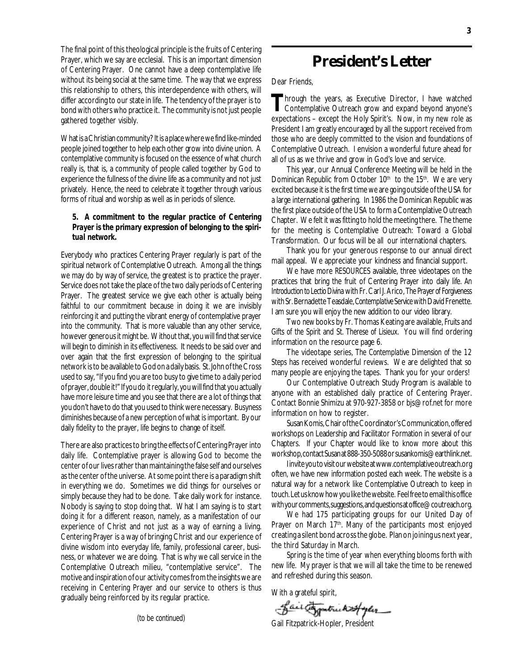The final point of this theological principle is the fruits of Centering Prayer, which we say are ecclesial. This is an important dimension of Centering Prayer. One cannot have a deep contemplative life without its being social at the same time. The way that we express this relationship to others, this interdependence with others, will differ according to our state in life. The tendency of the prayer is to bond with others who practice it. The community is not just people gathered together visibly.

What is a Christian community? It is a place where we find like-minded people joined together to help each other grow into divine union. A contemplative community is focused on the essence of what church really is, that is, a community of people called together by God to experience the fullness of the divine life as a community and not just privately. Hence, the need to celebrate it together through various forms of ritual and worship as well as in periods of silence.

#### *5. A commitment to the regular practice of Centering Prayer is the primary expression of belonging to the spiritual network.*

Everybody who practices Centering Prayer regularly is part of the spiritual network of Contemplative Outreach. Among all the things we may do by way of service, the greatest is to practice the prayer. Service does not take the place of the two daily periods of Centering Prayer. The greatest service we give each other is actually being faithful to our commitment because in doing it we are invisibly reinforcing it and putting the vibrant energy of contemplative prayer into the community. That is more valuable than any other service, however generous it might be. Without that, you will find that service will begin to diminish in its effectiveness. It needs to be said over and over again that the first expression of belonging to the spiritual network is to be available to God on a daily basis. St. John of the Cross used to say, "If you find you are too busy to give time to a daily period of prayer, double it!" If you do it regularly, you will find that you actually have more leisure time and you see that there are a lot of things that you don't have to do that you used to think were necessary. Busyness diminishes because of a new perception of what is important. By our daily fidelity to the prayer, life begins to change of itself.

There are also practices to bring the effects of Centering Prayer into daily life. Contemplative prayer is allowing God to become the center of our lives rather than maintaining the false self and ourselves as the center of the universe. At some point there is a paradigm shift in everything we do. Sometimes we did things for ourselves or simply because they had to be done. Take daily work for instance. Nobody is saying to stop doing that. What I am saying is to start doing it for a different reason, namely, as a manifestation of our experience of Christ and not just as a way of earning a living. Centering Prayer is a way of bringing Christ and our experience of divine wisdom into everyday life, family, professional career, business, or whatever we are doing. That is why we call service in the Contemplative Outreach milieu, "contemplative service". The motive and inspiration of our activity comes from the insights we are receiving in Centering Prayer and our service to others is thus gradually being reinforced by its regular practice.

*(to be continued)*

## *President's Letter*

#### Dear Friends.

Through the years, as Executive Director, I have watched<br>Contemplative Outreach grow and expand beyond anyone's expectations – except the Holy Spirit's. Now, in my new role as President I am greatly encouraged by all the support received from those who are deeply committed to the vision and foundations of Contemplative Outreach. I envision a wonderful future ahead for all of us as we thrive and grow in God's love and service.

This year, our Annual Conference Meeting will be held in the Dominican Republic from October  $10<sup>th</sup>$  to the  $15<sup>th</sup>$ . We are very excited because it is the first time we are going outside of the USA for a large international gathering. In 1986 the Dominican Republic was the first place outside of the USA to form a Contemplative Outreach Chapter. We felt it was fitting to hold the meeting there. The theme for the meeting is Contemplative Outreach: Toward a Global Transformation. Our focus will be *all* our international chapters.

Thank you for your generous response to our annual direct mail appeal. We appreciate your kindness and financial support.

We have more *RESOURCES* available, three videotapes on the practices that bring the fruit of Centering Prayer into daily life. *An Introduction to Lectio Divina* with Fr. Carl J. Arico, *The Prayer of Forgiveness* with Sr. Bernadette Teasdale, *Contemplative Service* with David Frenette. I am sure you will enjoy the new addition to our video library.

Two *new* books by Fr. Thomas Keating are available, *Fruits and Gifts of the Spirit* and *St. Therese of Lisieux*. You will find ordering information on the resource page 6.

The videotape series, *The Contemplative Dimension of the 12 Steps* has received wonderful reviews. We are delighted that so many people are enjoying the tapes. Thank you for your orders!

Our Contemplative Outreach Study Program is available to anyone with an established daily practice of Centering Prayer. Contact Bonnie Shimizu at 970-927-3858 or bjs@rof.net for more information on how to register.

Susan Komis, Chair of the Coordinator's Communication, offered workshops on Leadership and Facilitator Formation in several of our Chapters. If your Chapter would like to know more about this workshop, contact Susan at 888-350-5088 or susankomis@earthlink.net.

I invite you to visit our website at www.contemplative outreach.org often, we have new information posted each week. The website is a natural way for a network like Contemplative Outreach to keep in touch. Let us know how you like the website. Feel free to email this office with your comments, suggestions, and questions at office@coutreach.org.

We had 175 participating groups for our United Day of Prayer on March 17<sup>th</sup>. Many of the participants most enjoyed creating a silent bond across the globe. Plan on joining us next year, the third Saturday in March.

Spring is the time of year when everything blooms forth with new life. My prayer is that we will all take the time to be renewed and refreshed during this season.

With a grateful spirit,

- Lair Expatrick 25/year

Gail Fitzpatrick-Hopler, President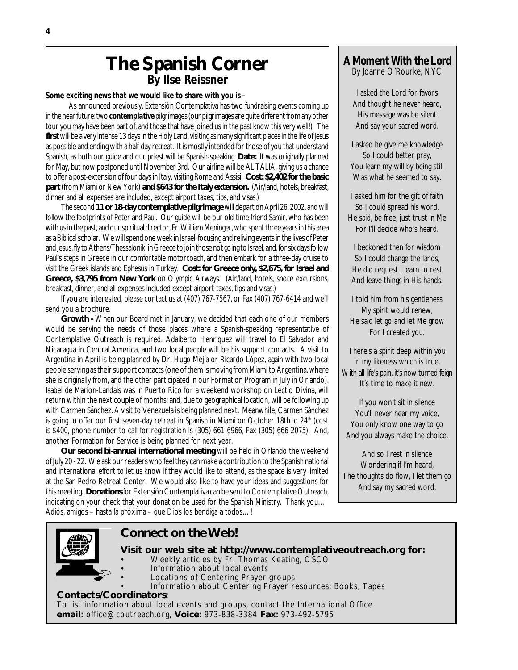## **The Spanish Corner**

**By Ilse Reissner**

*Some exciting news that we would like to share with you is –*

 As announced previously, Extensión Contemplativa has two fundraising events coming up in the near future: two *contemplative*pilgrimages (our pilgrimages are quite different from any other tour you may have been part of, and those that have joined us in the past know this very well!) The **first** will be a very intense 13 days in the Holy Land, visiting as many significant places in the life of Jesus as possible and ending with a half-day retreat. It is mostly intended for those of you that understand Spanish, as both our guide and our priest will be Spanish-speaking. **Date:** It was originally planned for May, but now postponed until November 3rd. Our airline will be ALITALIA, giving us a chance to offer a post-extension of four days in Italy, visiting Rome and Assisi. **Cost: \$2,402 for the basic part** (from Miami or New York) **and \$643 for the Italy extension.** (Air/land, hotels, breakfast, dinner and all expenses are included, except airport taxes, tips, and visas.)

The second **11 or 18-day contemplative pilgrimage** will depart on April 26, 2002, and will follow the footprints of Peter and Paul. Our guide will be our old-time friend Samir, who has been with us in the past, and our spiritual director, Fr. William Meninger, who spent three years in this area as a Biblical scholar. We will spend one week in Israel, focusing and reliving events in the lives of Peter and Jesus, fly to Athens/Thessaloniki in Greece to join those not going to Israel, and, for six days follow Paul's steps in Greece in our comfortable motorcoach, and then embark for a three-day cruise to visit the Greek islands and Ephesus in Turkey. **Cost: for Greece only, \$2,675, for Israel and Greece, \$3,795 from New York** on Olympic Airways. (Air/land, hotels, shore excursions, breakfast, dinner, and all expenses included except airport taxes, tips and visas.)

If you are interested, please contact us at (407) 767-7567, or Fax (407) 767-6414 and we'll send you a brochure.

**Growth -** When our Board met in January, we decided that each one of our members would be serving the needs of those places where a Spanish-speaking representative of Contemplative Outreach is required. Adalberto Henriquez will travel to El Salvador and Nicaragua in Central America, and two local people will be his support contacts. A visit to Argentina in April is being planned by Dr. Hugo Mejía or Ricardo López, again with two local people serving as their support contacts (one of them is moving from Miami to Argentina, where she is originally from, and the other participated in our Formation Program in July in Orlando). Isabel de Marion-Landais was in Puerto Rico for a weekend workshop on Lectio Divina, will return within the next couple of months; and, due to geographical location, will be following up with Carmen Sánchez. A visit to Venezuela is being planned next. Meanwhile, Carmen Sánchez is going to offer our first seven-day retreat in Spanish in Miami on October 18th to 24<sup>th</sup> (cost is \$400, phone number to call for registration is (305) 661-6966, Fax (305) 666-2075). And, another Formation for Service is being planned for next year.

**Our second bi-annual international meeting** will be held in Orlando the weekend of July 20 - 22. We ask our readers who feel they can make a contribution to the Spanish national and international effort to let us know if they would like to attend, as the space is very limited at the San Pedro Retreat Center. We would also like to have your ideas and suggestions for this meeting. **Donations** for Extensión Contemplativa can be sent to Contemplative Outreach, indicating on your check that your donation be used for the Spanish Ministry. Thank you… Adiós, amigos – hasta la próxima – que Dios los bendiga a todos…!

### **A Moment With the Lord** By Joanne O'Rourke, NYC

I asked the Lord for favors And thought he never heard, His message was be silent And say your sacred word.

I asked he give me knowledge So I could better pray, You learn my will by being still Was what he seemed to say.

I asked him for the gift of faith So I could spread his word, He said, be free, just trust in Me For I'll decide who's heard.

I beckoned then for wisdom So I could change the lands, He did request I learn to rest And leave things in His hands.

I told him from his gentleness My spirit would renew, He said let go and let Me grow For I created you.

There's a spirit deep within you In my likeness which is true, With all life's pain, it's now turned feign It's time to make it new.

If you won't sit in silence You'll never hear my voice, You only know one way to go And you always make the choice.

And so I rest in silence Wondering if I'm heard, The thoughts do flow, I let them go And say my sacred word.



### **Connect on the Web!**

- **Visit our web site at http://www.contemplativeoutreach.org for:** • Weekly articles by Fr. Thomas Keating, OSCO Information about local events
	- Locations of Centering Prayer groups
	- Information about Centering Prayer resources: Books, Tapes

**Contacts/Coordinators**: To list information about local events and groups, contact the International Office **email:** office@coutreach.org, **Voice:** 973-838-3384 **Fax:** 973-492-5795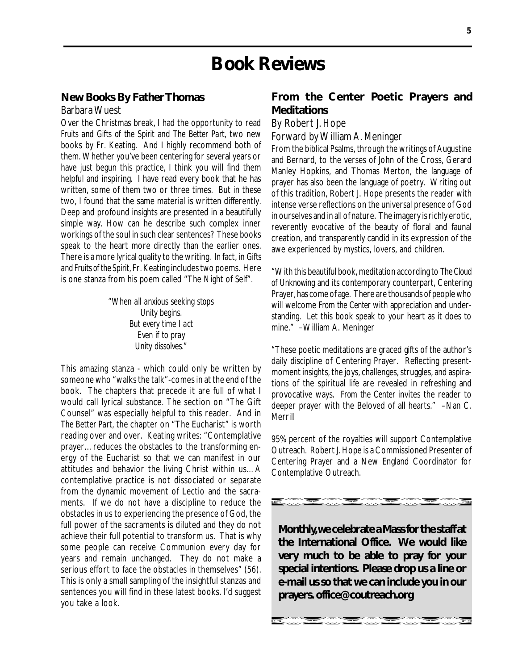## **Book Reviews**

#### **New Books By Father Thomas**

#### Barbara Wuest

Over the Christmas break, I had the opportunity to read *Fruits and Gifts of the Spirit* and *The Better Part*, two new books by Fr. Keating. And I highly recommend both of them. Whether you've been centering for several years or have just begun this practice, I think you will find them helpful and inspiring. I have read every book that he has written, some of them two or three times. But in these two, I found that the same material is written differently. Deep and profound insights are presented in a beautifully simple way. How can he describe such complex inner workings of the soul in such clear sentences? These books speak to the heart more directly than the earlier ones. There is a more lyrical quality to the writing. In fact, in *Gifts and Fruits of the Spirit*, Fr. Keating includes two poems. Here is one stanza from his poem called "The Night of Self".

> *"When all anxious seeking stops Unity begins. But every time I act Even if to pray Unity dissolves."*

This amazing stanza - which could only be written by someone who "walks the talk"-comes in at the end of the book. The chapters that precede it are full of what I would call lyrical substance. The section on "The Gift Counsel" was especially helpful to this reader. And in *The Better Part*, the chapter on "The Eucharist" is worth reading over and over. Keating writes: "Contemplative prayer…reduces the obstacles to the transforming energy of the Eucharist so that we can manifest in our attitudes and behavior the living Christ within us…A contemplative practice is not dissociated or separate from the dynamic movement of Lectio and the sacraments. If we do not have a discipline to reduce the obstacles in us to experiencing the presence of God, the full power of the sacraments is diluted and they do not achieve their full potential to transform us. That is why some people can receive Communion every day for years and remain unchanged. They do not make a serious effort to face the obstacles in themselves" (56). This is only a small sampling of the insightful stanzas and sentences you will find in these latest books. I'd suggest you take a look.

### **From the Center Poetic Prayers and Meditations**

By Robert J. Hope

Forward by William A. Meninger

From the biblical Psalms, through the writings of Augustine and Bernard, to the verses of John of the Cross, Gerard Manley Hopkins, and Thomas Merton, the language of prayer has also been the language of poetry. Writing out of this tradition, Robert J. Hope presents the reader with intense verse reflections on the universal presence of God in ourselves and in all of nature. The imagery is richly erotic, reverently evocative of the beauty of floral and faunal creation, and transparently candid in its expression of the awe experienced by mystics, lovers, and children.

"With this beautiful book, meditation according to *The Cloud of Unknowing* and its contemporary counterpart, Centering Prayer, has come of age. There are thousands of people who will welcome *From the Center* with appreciation and understanding. Let this book speak to your heart as it does to mine." –William A. Meninger

"These poetic meditations are graced gifts of the author's daily discipline of Centering Prayer. Reflecting presentmoment insights, the joys, challenges, struggles, and aspirations of the spiritual life are revealed in refreshing and provocative ways. *From the Center* invites the reader to deeper prayer with the Beloved of all hearts." –Nan C. Merrill

95% percent of the royalties will support Contemplative Outreach. Robert J. Hope is a Commissioned Presenter of Centering Prayer and a New England Coordinator for Contemplative Outreach.

**Monthly, we celebrate a Mass for the staff at the International Office. We would like very much to be able to pray for your special intentions. Please drop us a line or e-mail us so that we can include you in our prayers. office@coutreach.org**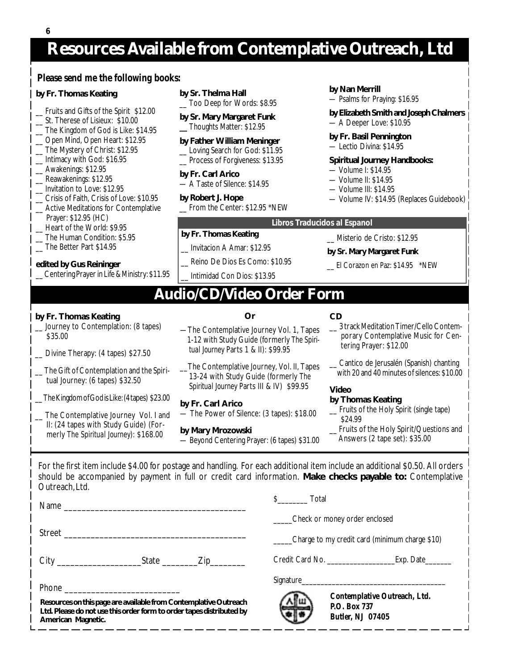## **Resources Available from Contemplative Outreach, Ltd**

#### **Please send me the following books:**

#### **by Fr. Thomas Keating**

- \_\_ Fruits and Gifts of the Spirit \$12.00
- \_\_ St. Therese of Lisieux: \$10.00
- \_\_ The Kingdom of God is Like: \$14.95
- \_\_ Open Mind, Open Heart: \$12.95
- \_\_ The Mystery of Christ: \$12.95
- \_\_ Intimacy with God: \$16.95
- Awakenings: \$12.95
- Reawakenings: \$12.95
- \_\_ Invitation to Love: \$12.95
- \_\_ Crisis of Faith, Crisis of Love: \$10.95
- Active Meditations for Contemplative
- Prayer: \$12.95 (HC)
- Heart of the World: \$9.95
- \_\_ The Human Condition: \$5.95
- \_\_ The Better Part \$14.95

#### **edited by Gus Reininger**

\_\_ Centering Prayer in Life & Ministry: \$11.95

- **by Sr. Thelma Hall** \_\_ Too Deep for Words: \$8.95
- **by Sr. Mary Margaret Funk**
- **\_\_** Thoughts Matter: \$12.95

#### **by Father William Meninger**

- \_\_ Loving Search for God: \$11.95
- \_\_ Process of Forgiveness: \$13.95

#### **by Fr. Carl Arico**

— A Taste of Silence: \$14.95

#### **by Robert J. Hope**

**by Fr. Thomas Keating**

\_\_ Invitacion A Amar: \$12.95

Reino De Dios Es Como: \$10.95 \_\_ Intimidad Con Dios: \$13.95

\_\_ From the Center: \$12.95 \*NEW

#### **by Nan Merrill**

- Psalms for Praying: \$16.95
- **by Elizabeth Smith and Joseph Chalmers** — A Deeper Love: \$10.95

#### **by Fr. Basil Pennington**

— Lectio Divina: \$14.95

#### **Spiritual Journey Handbooks:**

- Volume I: \$14.95
- Volume II: \$14.95
- Volume III: \$14.95
- Volume IV: \$14.95 (Replaces Guidebook)

#### **Libros Traducidos al Espanol**

- \_\_ Misterio de Cristo: \$12.95
- **by Sr. Mary Margaret Funk**
- \_\_ El Corazon en Paz: \$14.95 \*NEW

## **Audio/CD/Video Order Form**

#### **by Fr. Thomas Keating**

\_\_ Journey to Contemplation: (8 tapes) \$35.00

- \_\_ Divine Therapy: (4 tapes) \$27.50
- The Gift of Contemplation and the Spiritual Journey: (6 tapes) \$32.50

\_\_ The Kingdom of God is Like: (4 tapes) \$23.00

The Contemplative Journey Vol. I and II: (24 tapes with Study Guide) (For merly *The Spiritual Journey*): \$168.00

### **Or**

—The Contemplative Journey Vol. 1, Tapes 1-12 with Study Guide (formerly *The Spiri tual Journey* Parts 1 & II): \$99.95

\_\_The Contemplative Journey, Vol. II, Tapes 13-24 with Study Guide (formerly *The Spiritual Journey* Parts III & IV) \$99.95

**by Fr. Carl Arico** — The Power of Silence: (3 tapes): \$18.00

**by Mary Mrozowski** — Beyond Centering Prayer: (6 tapes) \$31.00

#### **CD**

\_\_ 3 track Meditation Timer/Cello Contem porary Contemplative Music for Cen tering Prayer: \$12.00

Cantico de Jerusalén (Spanish) chanting with 20 and 40 minutes of silences: \$10.00

#### **Video**

#### **by Thomas Keating**

- \_\_ Fruits of the Holy Spirit (single tape) \$24.99
- Fruits of the Holy Spirit/Questions and Answers (2 tape set): \$35.00

For the first item include \$4.00 for postage and handling. For each additional item include an additional \$0.50. All orders should be accompanied by payment in full or credit card information. **Make checks payable to:** Contemplative Outreach, Ltd.

|                             | Name |                                 |  |
|-----------------------------|------|---------------------------------|--|
|                             |      |                                 |  |
| City ______________________ |      | State $\_\_\_\_Zip\_\_\_\_\_\_$ |  |
| Phone                       |      |                                 |  |

**Resources on this page are available from Contemplative Outreach Ltd. Please do not use this order form to order tapes distributed by American Magnetic.**

\$\_\_\_\_\_\_\_\_ Total

\_\_\_\_\_Check or money order enclosed

\_\_\_\_\_Charge to my credit card (minimum charge \$10)

Credit Card No. \_\_\_\_\_\_\_\_\_\_\_\_\_\_\_\_\_\_Exp. Date\_\_\_\_\_\_\_

#### Signature



**Contemplative Outreach, Ltd. P.O. Box 737 Butler, NJ 07405**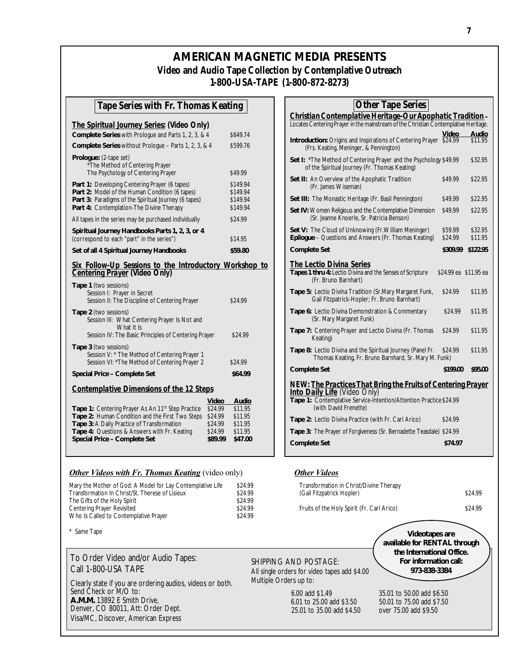### **AMERICAN MAGNETIC MEDIA PRESENTS Video and Audio Tape Collection by Contemplative Outreach 1-800-USA-TAPE (1-800-872-8273)**

#### **Tape Series with Fr. Thomas Keating**

| The Spiritual Journey Series: (Video Only)                                                                                                                                                                        |                                              |
|-------------------------------------------------------------------------------------------------------------------------------------------------------------------------------------------------------------------|----------------------------------------------|
| Complete Series with Prologue and Parts 1, 2, 3, & 4                                                                                                                                                              | \$649.74                                     |
| <b>Complete Series without Prologue - Parts 1, 2, 3, &amp; 4</b>                                                                                                                                                  | \$599.76                                     |
| <b>Prologue:</b> (2-tape set)<br>*The Method of Centering Prayer<br>The Psychology of Centering Prayer                                                                                                            | \$49.99                                      |
| <b>Part 1: Developing Centering Prayer (6 tapes)</b><br>Part 2: Model of the Human Condition (6 tapes)<br><b>Part 3: Paradigms of the Spiritual Journey (6 tapes)</b><br>Part 4: Contemplation-The Divine Therapy | \$149.94<br>\$149.94<br>\$149.94<br>\$149.94 |
| All tapes in the series may be purchased individually                                                                                                                                                             | \$24.99                                      |
| Spiritual Journey Handbooks Parts 1, 2, 3, or 4<br>(correspond to each "part" in the series")                                                                                                                     | \$14.95                                      |
| Set of all 4 Spiritual Journey Handbooks                                                                                                                                                                          | \$59.80                                      |
|                                                                                                                                                                                                                   |                                              |
|                                                                                                                                                                                                                   |                                              |
| Six Follow-Up Sessions to the Introductory Workshop to<br>Centering Prayer (Video Only)<br><b>Tape 1</b> (two sessions)<br>Session I: Prayer in Secret<br>Session II: The Discipline of Centering Prayer          | \$24.99                                      |
| <b>Tape 2</b> (two sessions)<br>Session III: What Centering Prayer Is Not and<br>What It Is                                                                                                                       |                                              |
| Session IV: The Basic Principles of Centering Prayer<br><b>Tape 3 (two sessions)</b><br>Session V: * The Method of Centering Prayer 1<br>Session VI: * The Method of Centering Prayer 2                           | \$24.99<br>\$24.99                           |
| Special Price - Complete Set                                                                                                                                                                                      | \$64.99                                      |
|                                                                                                                                                                                                                   |                                              |
| <b>Contemplative Dimensions of the 12 Steps</b><br>Video                                                                                                                                                          | Audio                                        |

|                                                               | <b>VIUCU</b> | Auulu   |
|---------------------------------------------------------------|--------------|---------|
| Tape 1: Centering Prayer As An 11 <sup>th</sup> Step Practice | \$24.99      | \$11.95 |
| <b>Tape 2: Human Condition and the First Two Steps</b>        | \$24.99      | \$11.95 |
| <b>Tape 3: A Daily Practice of Transformation</b>             | \$24.99      | \$11.95 |
| <b>Tape 4: Questions &amp; Answers with Fr. Keating</b>       | \$24.99      | \$11.95 |
| Special Price - Complete Set                                  | \$89.99      | \$47.00 |
|                                                               |              |         |

#### *Other Videos with Fr. Thomas Keating* (video only) *Other Videos*

| Mary the Mother of God: A Model for Lay Contemplative Life | \$24.99 | Transformation in Christ/Divine Therapy    |         |
|------------------------------------------------------------|---------|--------------------------------------------|---------|
| Transformation In Christ/St. Therese of Lisieux            | \$24.99 | (Gail Fitzpatrick Hopler)                  | \$24.99 |
| The Gifts of the Holy Spirit                               | \$24.99 |                                            |         |
| Centering Prayer Revisited                                 | \$24.99 | Fruits of the Holy Spirit (Fr. Carl Arico) | \$24.99 |
| Who Is Called to Contemplative Prayer                      | \$24.99 |                                            |         |

\* Same Tape

To Order Video and/or Audio Tapes: Call 1-800-USA TAPE

Clearly state if you are ordering audios, videos or both. Send Check or M/O to: **A.M.M.** 13892 E Smith Drive, Denver, CO 80011, Att: Order Dept. Visa/MC, Discover, American Express

| <u>Christian Contemplative Heritage-Our Apophatic Tradition-</u>                                                          |                    |                       |
|---------------------------------------------------------------------------------------------------------------------------|--------------------|-----------------------|
| Locates Centering Prayer in the mainstream of the Christian Contemplative Heritage.                                       |                    |                       |
|                                                                                                                           | Video              | Audio                 |
| <b>Introduction:</b> Origins and Inspirations of Centering Prayer \$24.99<br>(Frs. Keating, Meninger, & Pennington)       |                    | \$11.95               |
| <b>Set I:</b> *The Method of Centering Prayer and the Psychology \$49.99<br>of the Spiritual Journey (Fr. Thomas Keating) |                    | \$32.95               |
| Set II: An Overview of the Apophatic Tradition<br>(Fr. James Wiseman)                                                     | \$49.99            | \$22.95               |
| Set III: The Monastic Heritage (Fr. Basil Pennington)                                                                     | \$49.99            | \$22.95               |
| Set IV: Women Religious and the Contemplative Dimension<br>(Sr. Jeanne Knoerle, Sr. Patricia Benson)                      | \$49.99            | \$22.95               |
| Set V: The Cloud of Unknowing (Fr. William Meninger)<br>Epilogue - Questions and Answers (Fr. Thomas Keating)             | \$59.99<br>\$24.99 | \$32.95<br>\$11.95    |
| <b>Complete Set</b>                                                                                                       | \$309.99           | \$122.95              |
| The Lectio Divina Series<br>Tapes 1 thru 4: Lectio Divina and the Senses of Scripture<br>(Fr. Bruno Barnhart)             |                    | \$24.99 ea \$11.95 ea |
| Tape 5: Lectio Divina Tradition (Sr.Mary Margaret Funk,<br>Gail Fitzpatrick-Hopler; Fr. Bruno Barnhart)                   | \$24.99            | \$11.95               |
| Tape 6: Lectio Divina Demonstration & Commentary                                                                          | \$24.99            | \$11.95               |

**Other Tape Series**

#### **Tape 6:** Lectio Divina Demonstration & Commentary  $$24.99$  \$11.95 (Sr. Mary Margaret Funk) Tape 7: Centering Prayer and Lectio Divina (Fr. Thomas \$24.99 \$11.95 Keating) **Tape 8:** Lectio Divina and the Spiritual Journey (Panel Fr. \$24.99 \$11.95 Thomas Keating, Fr. Bruno Barnhard, Sr. Mary M. Funk) **Complete Set \$199.00 \$95.00** *NEW: The Practices That Bring the Fruits of Centering Prayer Into Daily Life* (Video Only) **Tape 1:** Contemplative Service-Intention/Attention Practice\$24.99 (with David Frenette) Tape 2: Lectio Divina Practice (with Fr. Carl Arico) \$24.99 **Tape 3:** The Prayer of Forgiveness (Sr. Bernadette Teasdale) \$24.99 **Complete Set \$74.97**

| Mary the Mother of God: A Model for Lay Contemplative Life | \$24.99 | Transformation in Christ/Divine Therapy    |         |
|------------------------------------------------------------|---------|--------------------------------------------|---------|
| Transformation In Christ/St. Therese of Lisieux            | \$24.99 | (Gail Fitzpatrick Hopler)                  | \$24.99 |
| The Gifts of the Holy Spirit                               | \$24.99 |                                            |         |
| Centering Praver Revisited                                 | \$24.99 | Fruits of the Holy Spirit (Fr. Carl Arico) | \$24.99 |

#### SHIPPING AND POSTAGE: All single orders for video tapes add \$4.00 Multiple Orders up to:

 6.00 add \$1.49 35.01 to 50.00 add \$6.50 6.01 to 25.00 add \$3.50 50.01 to 75.00 add \$7.50 25.01 to 35.00 add \$4.50

**Videotapes are available for RENTAL through the International Office. For information call: 973-838-3384**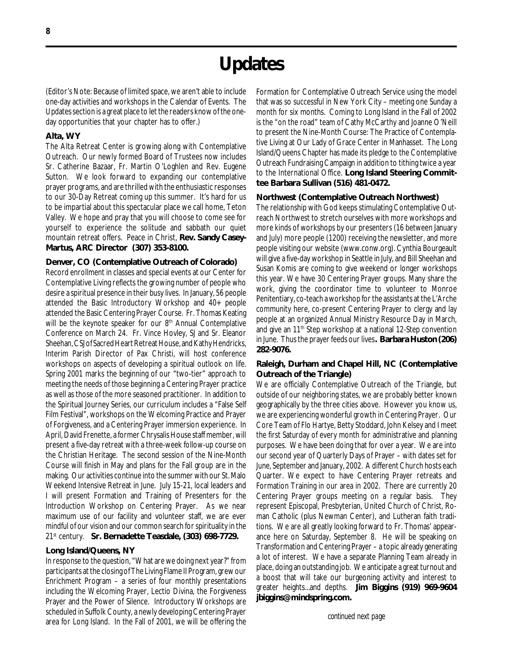## **Updates**

(Editor's Note: Because of limited space, we aren't able to include one-day activities and workshops in the Calendar of Events. The Updates section is a great place to let the readers know of the oneday opportunities that your chapter has to offer.)

#### **Alta, WY**

The Alta Retreat Center is growing along with Contemplative Outreach. Our newly formed Board of Trustees now includes Sr. Catherine Bazaar, Fr. Martin O'Loghlen and Rev. Eugene Sutton. We look forward to expanding our contemplative prayer programs, and are thrilled with the enthusiastic responses to our 30-Day Retreat coming up this summer. It's hard for us to be impartial about this spectacular place we call home, Teton Valley. We hope and pray that you will choose to come see for yourself to experience the solitude and sabbath our quiet mountain retreat offers. Peace in Christ, **Rev. Sandy Casey-Martus, ARC Director (307) 353-8100.**

#### **Denver, CO (Contemplative Outreach of Colorado)**

Record enrollment in classes and special events at our Center for Contemplative Living reflects the growing number of people who desire a spiritual presence in their busy lives. In January, 56 people attended the Basic Introductory Workshop and 40+ people attended the Basic Centering Prayer Course. Fr. Thomas Keating will be the keynote speaker for our 8<sup>th</sup> Annual Contemplative Conference on March 24. Fr. Vince Hovley, SJ and Sr. Eleanor Sheehan, CSJ of Sacred Heart Retreat House, and Kathy Hendricks, Interim Parish Director of Pax Christi, will host conference workshops on aspects of developing a spiritual outlook on life. Spring 2001 marks the beginning of our "two-tier" approach to meeting the needs of those beginning a Centering Prayer practice as well as those of the more seasoned practitioner. In addition to the Spiritual Journey Series, our curriculum includes a "False Self Film Festival", workshops on the Welcoming Practice and Prayer of Forgiveness, and a Centering Prayer immersion experience. In April, David Frenette, a former Chrysalis House staff member, will present a five-day retreat with a three-week follow-up course on the Christian Heritage. The second session of the Nine-Month Course will finish in May and plans for the Fall group are in the making. Our activities continue into the summer with our St. Malo Weekend Intensive Retreat in June. July 15-21, local leaders and I will present Formation and Training of Presenters for the Introduction Workshop on Centering Prayer. As we near maximum use of our facility and volunteer staff, we are ever mindful of our vision and our common search for spirituality in the 21st century. **Sr. Bernadette Teasdale, (303) 698-7729.**

#### **Long Island/Queens, NY**

In response to the question, "What are we doing next year?" from participants at the closing of The Living Flame II Program, grew our Enrichment Program – a series of four monthly presentations including the Welcoming Prayer, Lectio Divina, the Forgiveness Prayer and the Power of Silence. Introductory Workshops are scheduled in Suffolk County, a newly developing Centering Prayer area for Long Island. In the Fall of 2001, we will be offering the Formation for Contemplative Outreach Service using the model that was so successful in New York City – meeting one Sunday a month for six months. Coming to Long Island in the Fall of 2002 is the "on the road" team of Cathy McCarthy and Joanne O'Neill to present the Nine-Month Course: The Practice of Contemplative Living at Our Lady of Grace Center in Manhasset. The Long Island/Queens Chapter has made its pledge to the Contemplative Outreach Fundraising Campaign in addition to tithing twice a year to the International Office. **Long Island Steering Committee Barbara Sullivan (516) 481-0472.**

#### **Northwest (Contemplative Outreach Northwest)**

The relationship with God keeps stimulating Contemplative Outreach Northwest to stretch ourselves with more workshops and more kinds of workshops by our presenters (16 between January and July) more people (1200) receiving the newsletter, and more people visiting our website (www.conw.org). Cynthia Bourgeault will give a five-day workshop in Seattle in July, and Bill Sheehan and Susan Komis are coming to give weekend or longer workshops this year. We have 30 Centering Prayer groups. Many share the work, giving the coordinator time to volunteer to Monroe Penitentiary, co-teach a workshop for the assistants at the L'Arche community here, co-present Centering Prayer to clergy and lay people at an organized Annual Ministry Resource Day in March, and give an 11<sup>th</sup> Step workshop at a national 12-Step convention in June. Thus the prayer feeds our lives**. Barbara Huston (206) 282-9076.**

#### **Raleigh, Durham and Chapel Hill, NC (Contemplative Outreach of the Triangle)**

We are officially Contemplative Outreach of the Triangle, but outside of our neighboring states, we are probably better known geographically by the three cities above. However you know us, we are experiencing wonderful growth in Centering Prayer. Our Core Team of Flo Hartye, Betty Stoddard, John Kelsey and I meet the first Saturday of every month for administrative and planning purposes. We have been doing that for over a year. We are into our second year of Quarterly Days of Prayer – with dates set for June, September and January, 2002. A different Church hosts each Quarter. We expect to have Centering Prayer retreats and Formation Training in our area in 2002. There are currently 20 Centering Prayer groups meeting on a regular basis. They represent Episcopal, Presbyterian, United Church of Christ, Roman Catholic (plus Newman Center), and Lutheran faith traditions. We are all greatly looking forward to Fr. Thomas' appearance here on Saturday, September 8. He will be speaking on Transformation and Centering Prayer – a topic already generating a lot of interest. We have a separate Planning Team already in place, doing an outstanding job. We anticipate a great turnout and a boost that will take our burgeoning activity and interest to greater heights...and depths. **Jim Biggins (919) 969-9604 jbiggins@mindspring.com.**

*continued next page*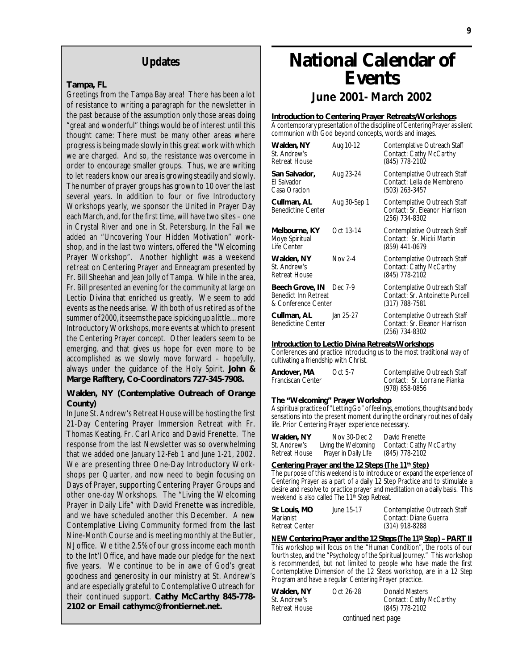#### **Updates**

#### **Tampa, FL**

Greetings from the Tampa Bay area! There has been a lot of resistance to writing a paragraph for the newsletter in the past because of the assumption only those areas doing "great and wonderful" things would be of interest until this thought came: There must be many other areas where progress is being made slowly in this great work with which we are charged. And so, the resistance was overcome in order to encourage smaller groups. Thus, we are writing to let readers know our area is growing steadily and slowly. The number of prayer groups has grown to 10 over the last several years. In addition to four or five Introductory Workshops yearly, we sponsor the United in Prayer Day each March, and, for the first time, will have two sites – one in Crystal River and one in St. Petersburg. In the Fall we added an "Uncovering Your Hidden Motivation" workshop, and in the last two winters, offered the "Welcoming Prayer Workshop". Another highlight was a weekend retreat on Centering Prayer and Enneagram presented by Fr. Bill Sheehan and Jean Jolly of Tampa. While in the area, Fr. Bill presented an evening for the community at large on Lectio Divina that enriched us greatly. We seem to add events as the needs arise. With both of us retired as of the summer of 2000, it seems the pace is picking up a little…more Introductory Workshops, more events at which to present the Centering Prayer concept. Other leaders seem to be emerging, and that gives us hope for even more to be accomplished as we slowly move forward – hopefully, always under the guidance of the Holy Spirit. **John & Marge Rafftery, Co-Coordinators 727-345-7908.**

#### **Walden, NY (Contemplative Outreach of Orange County)**

In June St. Andrew's Retreat House will be hosting the *first* 21-Day Centering Prayer Immersion Retreat with Fr. Thomas Keating, Fr. Carl Arico and David Frenette. The response from the last Newsletter was so overwhelming that we added one *January 12-Feb 1* and *June 1-21, 2002*. We are presenting three One-Day Introductory Workshops per Quarter, and now need to begin focusing on Days of Prayer, supporting Centering Prayer Groups and other one-day Workshops. The "Living the Welcoming Prayer in Daily Life" with David Frenette was incredible, and we have scheduled another this December. A new Contemplative Living Community formed from the last Nine-Month Course and is meeting monthly at the Butler, NJ office. We tithe 2.5% of our gross income each month to the Int'l Office, and have made our pledge for the next five years. We continue to be in awe of God's great goodness and generosity in our ministry at St. Andrew's and are especially grateful to Contemplative Outreach for their continued support. **Cathy McCarthy 845-778- 2102 or Email cathymc@frontiernet.net.**

## **National Calendar of Events**

**June 2001- March 2002**

#### **Introduction to Centering Prayer Retreats/Workshops**

A contemporary presentation of the discipline of Centering Prayer as silent communion with God beyond concepts, words and images.

| Walden, NY<br>St. Andrew's<br><b>Retreat House</b>                            | Aug 10-12    | Contemplative Outreach Staff<br>Contact: Cathy McCarthy<br>(845) 778-2102         |
|-------------------------------------------------------------------------------|--------------|-----------------------------------------------------------------------------------|
| San Salvador,<br>El Salvador<br>Casa Oracion                                  | Aug 23-24    | Contemplative Outreach Staff<br>Contact: Leila de Membreno<br>(503) 263-3457      |
| Cullman, AL<br><b>Benedictine Center</b>                                      | Aug 30-Sep 1 | Contemplative Outreach Staff<br>Contact: Sr. Eleanor Harrison<br>(256) 734-8302   |
| Melbourne, KY<br>Moye Spiritual<br>I ife Center                               | Oct 13-14    | Contemplative Outreach Staff<br>Contact: Sr. Micki Martin<br>(859) 441-0679       |
| Walden, NY<br>St. Andrew's<br><b>Retreat House</b>                            | Nov 2-4      | Contemplative Outreach Staff<br>Contact: Cathy McCarthy<br>(845) 778-2102         |
| Beech Grove, IN Dec 7-9<br><b>Benedict Inn Retreat</b><br>& Conference Center |              | Contemplative Outreach Staff<br>Contact: Sr. Antoinette Purcell<br>(317) 788-7581 |
| Cullman, AL<br><b>Benedictine Center</b>                                      | Jan 25-27    | Contemplative Outreach Staff<br>Contact: Sr. Eleanor Harrison<br>(256) 734-8302   |

#### **Introduction to Lectio Divina Retreats/Workshops**

Conferences and practice introducing us to the most traditional way of cultivating a friendship with Christ.

| Andover, MA       | Oct 5-7 | Contemplative Outreach Staff |
|-------------------|---------|------------------------------|
| Franciscan Center |         | Contact: Sr. Lorraine Pianka |
|                   |         | $(978)$ 858-0856             |

#### **The "Welcoming" Prayer Workshop**

A spiritual practice of "Letting Go" of feelings, emotions, thoughts and body sensations into the present moment during the ordinary routines of daily life. Prior Centering Prayer experience necessary.

| Walden, NY    | Nov 30-Dec 2         | David Frenette          |
|---------------|----------------------|-------------------------|
| St. Andrew's  | Living the Welcoming | Contact: Cathy McCarthy |
| Retreat House | Prayer in Daily Life | (845) 778-2102          |

#### **Centering Prayer and the 12 Steps (***The 11th Step***)**

The purpose of this weekend is to introduce or expand the experience of Centering Prayer as a part of a daily 12 Step Practice and to stimulate a desire and resolve to practice prayer and meditation on a daily basis. This weekend is also called *The 11<sup>th</sup> Step Retreat.* 

| June 15-17 | Contemplative Outreach Staff |
|------------|------------------------------|
|            | Contact: Diane Guerra        |
|            | (314) 918-8288               |
|            |                              |

*NEW Centering Prayer and the 12 Steps (The 11<sup>th</sup> Step) - PART II* This workshop will focus on the "Human Condition", the roots of our fourth step, and the "Psychology of the Spiritual Journey." This workshop is recommended, but not limited to people who have made the first Contemplative Dimension of the 12 Steps workshop, are in a 12 Step Program and have a regular Centering Prayer practice.

| Walden, NY                              | Oct 26-28 | Donald Masters          |  |
|-----------------------------------------|-----------|-------------------------|--|
| St. Andrew's                            |           | Contact: Cathy McCarthy |  |
| <b>Retreat House</b>                    |           | (845) 778-2102          |  |
| المستحامين المتحمل المتماد ومطلقهم متحا |           |                         |  |

*continued next page*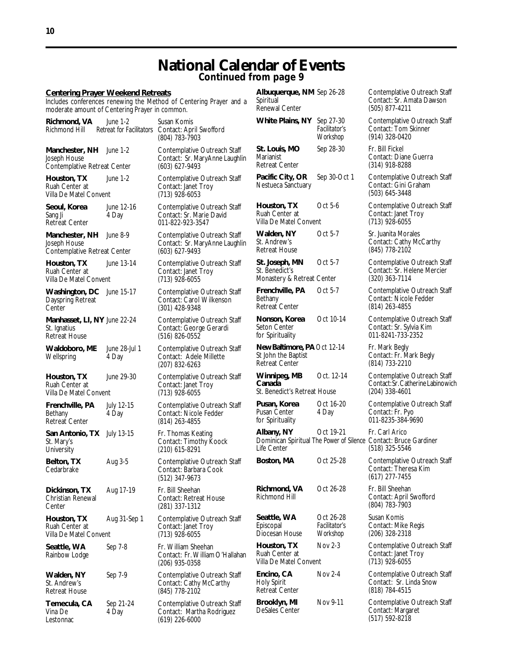## **National Calendar of Events**

**Continued from page 9**

#### **Centering Prayer Weekend Retreats**

Includes conferences renewing the Method of Centering Prayer and a moderate amount of Centering Prayer in common.

| Richmond, VA<br>Richmond Hill                                           | June 1-2<br><b>Retreat for Facilitators</b> | Susan Komis<br>Contact: April Swofford<br>(804) 783-7903                         |
|-------------------------------------------------------------------------|---------------------------------------------|----------------------------------------------------------------------------------|
| Manchester, NH June 1-2<br>Joseph House<br>Contemplative Retreat Center |                                             | Contemplative Outreach Staff<br>Contact: Sr. MaryAnne Laughlin<br>(603) 627-9493 |
| Houston, TX<br>Ruah Center at<br>Villa De Matel Convent                 | June 1-2                                    | Contemplative Outreach Staff<br>Contact: Janet Troy<br>$(713)$ 928-6053          |
| Seoul, Korea<br>Sang Ji<br>Retreat Center                               | June 12-16<br>4 Day                         | Contemplative Outreach Staff<br>Contact: Sr. Marie David<br>011-822-923-3547     |
| Manchester, NH<br>Joseph House<br>Contemplative Retreat Center          | June 8-9                                    | Contemplative Outreach Staff<br>Contact: Sr. MaryAnne Laughlin<br>(603) 627-9493 |
| Houston, TX<br>Ruah Center at<br>Villa De Matel Convent                 | June 13-14                                  | Contemplative Outreach Staff<br>Contact: Janet Troy<br>$(713)$ 928-6055          |
| Washington, DC June 15-17<br>Dayspring Retreat<br>Center                |                                             | Contemplative Outreach Staff<br>Contact: Carol Wilkenson<br>(301) 428-9348       |
| Manhasset, LI, NY June 22-24<br>St. Ignatius<br>Retreat House           |                                             | Contemplative Outreach Staff<br>Contact: George Gerardi<br>(516) 826-0552        |
| Waldoboro, ME<br>Wellspring                                             | June 28-Jul 1<br>4 Day                      | Contemplative Outreach Staff<br>Contact: Adele Millette<br>(207) 832-6263        |
| Houston, TX<br>Ruah Center at<br>Villa De Matel Convent                 | June 29-30                                  | Contemplative Outreach Staff<br>Contact: Janet Troy<br>$(713)$ 928-6055          |
| Frenchville, PA<br>Bethany<br>Retreat Center                            | July 12-15<br>4 Day                         | Contemplative Outreach Staff<br>Contact: Nicole Fedder<br>(814) 263-4855         |
| San Antonio, TX July 13-15<br>St. Mary's<br>University                  |                                             | Fr. Thomas Keating<br>Contact: Timothy Koock<br>$(210)$ 615-8291                 |
| Belton, TX<br>Cedarbrake                                                | Aug 3-5                                     | Contemplative Outreach Staff<br>Contact: Barbara Cook<br>$(512)$ 347-9673        |
| Dickinson, TX<br>Christian Renewal<br>Center                            | Aug 17-19                                   | Fr. Bill Sheehan<br>Contact: Retreat House<br>(281) 337-1312                     |
| Houston, TX<br>Ruah Center at<br>Villa De Matel Convent                 | Aug 31-Sep 1                                | Contemplative Outreach Staff<br>Contact: Janet Troy<br>$(713)$ 928-6055          |
| Seattle, WA<br>Rainbow Lodge                                            | Sep 7-8                                     | Fr. William Sheehan<br>Contact: Fr. William O'Hallahan<br>(206) 935-0358         |
| Walden, NY<br>St. Andrew's<br>Retreat House                             | Sep 7-9                                     | Contemplative Outreach Staff<br>Contact: Cathy McCarthy<br>(845) 778-2102        |
| Temecula, CA<br>Vina De                                                 | Sep 21-24<br>4 Day                          | Contemplative Outreach Staff<br>Contact: Martha Rodriguez                        |

Lestonnac (619) 226-6000

| Albuquerque, NM Sep 26-28<br>Spiritual<br>Renewal Center                    |                                        | Con<br>Con<br>(505    |
|-----------------------------------------------------------------------------|----------------------------------------|-----------------------|
| White Plains, NY                                                            | Sep 27-30<br>Facilitator's<br>Workshop | Con<br>Con<br>(914    |
| St. Louis, MO<br>Marianist<br><b>Retreat Center</b>                         | Sep 28-30                              | Fr. E<br>Con<br>(314) |
| Pacific City, OR<br>Nestueca Sanctuary                                      | Sep 30-Oct 1                           | Con<br>Con<br>(503)   |
| Houston, TX<br>Ruah Center at<br>Villa De Matel Convent                     | Oct 5-6                                | Con<br>Con<br>(713    |
| Walden, NY<br>St. Andrew's<br><b>Retreat House</b>                          | Oct 5-7                                | Sr. J<br>Con<br>(845  |
| St. Joseph, MN<br>St. Benedict's<br>Monastery & Retreat Center              | Oct 5-7                                | Con<br>Con<br>(320    |
| Frenchville, PA<br>Bethany<br>Retreat Center                                | Oct 5-7                                | Con<br>Con<br>(814)   |
| Nonson, Korea<br>Seton Center<br>for Spirituality                           | Oct 10-14                              | Con<br>Con<br>011-    |
| New Baltimore, PA Oct 12-14<br>St John the Baptist<br><b>Retreat Center</b> |                                        | Fr. N<br>Con<br>(814) |
| Winnipeg, MB<br>Canada<br>St. Benedict's Retreat House                      | Oct. 12-14                             | Con<br>Con<br>(204)   |
| Pusan, Korea<br>Pusan Center<br>for Spirituality                            | Oct 16-20<br>4 Day                     | Con<br>Con<br>011-    |
| Albany, NY<br>Dominican Spiritual The Power of Silence Con<br>Life Center   | Oct 19-21                              | Fr. C<br>(518)        |
| Boston, MA                                                                  | Oct 25-28                              | Con<br>Con<br>(617    |
| Richmond, VA<br><b>Richmond Hill</b>                                        | Oct 26-28                              | Fr. E<br>Con<br>(804) |
| Seattle, WA<br>Episcopal<br>Diocesan House                                  | Oct 26-28<br>Facilitator's<br>Workshop | Susa<br>Con<br>(206)  |
| Houston, TX<br>Ruah Center at<br><b>Villa De Matel Convent</b>              | Nov 2-3                                | Con<br>Con<br>(713    |
| Encino, CA<br><b>Holy Spirit</b><br><b>Retreat Center</b>                   | Nov 2-4                                | Con<br>Con<br>(818    |
| Brooklyn, MI<br>DeSales Center                                              | Nov 9-11                               | Con<br>Con            |

**Altemplative Outreach Staff** tact: Sr. Amata Dawson  $5)$  877-4211

**White Manual Staff** *Facilitator's* Contact: Tom Skinner *Workshop* (914) 328-0420

**Sill Fickel** tact: Diane Guerra 4) 918-8288

**Pacific Contreach Staff** tact: Gini Graham (503) 645-3448

**Hemplative Outreach Staff** htact: Janet Troy 8) 928-6055

uanita Morales tact: Cathy McCarthy 6) 778-2102

**Intemplative Outreach Staff** tact: Sr. Helene Mercier 0) 363-7114

**Frenchative Outreach Staff** tact: Nicole Fedder 4) 263-4855

**Romandative Outreach Staff** tact: Sr. Sylvia Kim for Spirituality 011-8241-733-2352

Aark Begly tact: Fr. Mark Begly 4) 733-2210

*Mech Staff* tact: Sr. Catherine Labinowich 4) 338-4601

**Publisher Outreach Staff** tact: Fr. Pyo for Spirituality 011-8235-384-9690

Carl Arico *The Seruce Gardiner* 3) 325-5546

> **Boston**<br>Both Cutreach Staff tact: Theresa Kim (617) 277-7455

**Rill Sheehan** Itact: April Swofford (804) 783-7903

**n Komis** Episcopal *Facilitator's* Contact: Mike Regis Diocesan House *Workshop* (206) 328-2318

templative Outreach Staff tact: Janet Troy 8) 928-6055

**Examplative Outreach Staff** tact: Sr. Linda Snow 8) 784-4515

**Remplative Outreach Staff** ntact: Margaret (517) 592-8218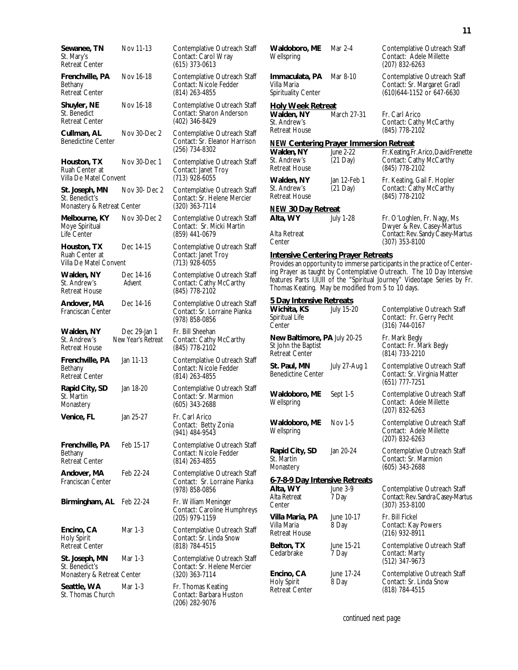| Sewanee, TN<br>St. Mary's<br>Retreat Center                    | Nov 11-13                          | Contemplative Outreach Sta<br>Contact: Carol Wray<br>$(615)$ 373-0613         |
|----------------------------------------------------------------|------------------------------------|-------------------------------------------------------------------------------|
| Frenchville, PA<br>Bethany<br>Retreat Center                   | Nov 16-18                          | Contemplative Outreach Sta<br>Contact: Nicole Fedder<br>(814) 263-4855        |
| Shuyler, NE<br>St. Benedict<br>Retreat Center                  | Nov 16-18                          | Contemplative Outreach Sta<br>Contact: Sharon Anderson<br>(402) 346-8429      |
| Cullman, AL<br>Benedictine Center                              | Nov 30-Dec 2                       | Contemplative Outreach Sta<br>Contact: Sr. Eleanor Harriso<br>(256) 734-8302  |
| Houston, TX<br>Ruah Center at<br>Villa De Matel Convent        | Nov 30-Dec 1                       | Contemplative Outreach Sta<br>Contact: Janet Troy<br>$(713)$ 928-6055         |
| St. Joseph, MN<br>St. Benedict's<br>Monastery & Retreat Center | Nov 30- Dec 2                      | Contemplative Outreach Sta<br>Contact: Sr. Helene Mercier<br>$(320)$ 363-7114 |
| Melbourne, KY<br>Moye Spiritual<br>Life Center                 | Nov 30-Dec 2                       | Contemplative Outreach Sta<br>Contact: Sr. Micki Martin<br>(859) 441-0679     |
| Houston, TX<br>Ruah Center at<br>Villa De Matel Convent        | Dec 14-15                          | Contemplative Outreach Sta<br>Contact: Janet Troy<br>$(713)$ 928-6055         |
| Walden, NY<br>St. Andrew's<br>Retreat House                    | Dec 14-16<br>Advent                | Contemplative Outreach Sta<br>Contact: Cathy McCarthy<br>(845) 778-2102       |
| Andover, MA<br>Franciscan Center                               | Dec 14-16                          | Contemplative Outreach Sta<br>Contact: Sr. Lorraine Pianka                    |
|                                                                |                                    | (978) 858-0856                                                                |
| Walden, NY<br>St. Andrew's<br><b>Retreat House</b>             | Dec 29-Jan 1<br>New Year's Retreat | Fr. Bill Sheehan<br>Contact: Cathy McCarthy<br>(845) 778-2102                 |
| Frenchville, PA<br>Bethany<br><b>Retreat Center</b>            | Jan 11-13                          | Contemplative Outreach Sta<br>Contact: Nicole Fedder<br>(814) 263-4855        |
| Rapid City, SD<br>St. Martin<br>Monastery                      | Jan 18-20                          | Contemplative Outreach Sta<br>Contact: Sr. Marmion<br>$(605)$ 343-2688        |
| Venice, FL                                                     | Jan 25-27                          | Fr. Carl Arico<br>Contact: Betty Zonia<br>(941) 484-9543                      |
| Frenchville, PA<br>Bethany<br><b>Retreat Center</b>            | Feb 15-17                          | Contemplative Outreach Sta<br>Contact: Nicole Fedder<br>(814) 263-4855        |
| Andover, MA<br>Franciscan Center                               | Feb 22-24                          | Contemplative Outreach Sta<br>Contact: Sr. Lorraine Pianka<br>(978) 858-0856  |
| Birmingham, AL Feb 22-24                                       |                                    | Fr. William Meninger<br>Contact: Caroline Humphrey<br>$(205)$ 979-1159        |
| Encino, CA<br>Holy Spirit<br>Retreat Center                    | Mar 1-3                            | Contemplative Outreach Sta<br>Contact: Sr. Linda Snow<br>(818) 784-4515       |
| St. Joseph, MN<br>St. Benedict's<br>Monastery & Retreat Center | Mar 1-3                            | Contemplative Outreach Sta<br>Contact: Sr. Helene Mercier<br>$(320)$ 363-7114 |

| Sewanee, TN<br>St. Mary's<br>Retreat Center                    | Nov 11-13                          | Contemplative Outreach Staff<br>Contact: Carol Wray<br>$(615)$ 373-0613         |
|----------------------------------------------------------------|------------------------------------|---------------------------------------------------------------------------------|
| Frenchville, PA<br>Bethany<br>Retreat Center                   | Nov 16-18                          | Contemplative Outreach Staff<br>Contact: Nicole Fedder<br>(814) 263-4855        |
| Shuyler, NE<br>St. Benedict<br>Retreat Center                  | Nov 16-18                          | Contemplative Outreach Staff<br>Contact: Sharon Anderson<br>(402) 346-8429      |
| Cullman, AL<br>Benedictine Center                              | Nov 30-Dec 2                       | Contemplative Outreach Staff<br>Contact: Sr. Eleanor Harrison<br>(256) 734-8302 |
| Houston, TX<br>Ruah Center at<br>Villa De Matel Convent        | Nov 30-Dec 1                       | Contemplative Outreach Staff<br>Contact: Janet Troy<br>$(713)$ 928-6055         |
| St. Joseph, MN<br>St. Benedict's<br>Monastery & Retreat Center | Nov 30- Dec 2                      | Contemplative Outreach Staff<br>Contact: Sr. Helene Mercier<br>(320) 363-7114   |
| Melbourne, KY<br>Moye Spiritual<br>Life Center                 | Nov 30-Dec 2                       | Contemplative Outreach Staff<br>Contact: Sr. Micki Martin<br>(859) 441-0679     |
| Houston, TX<br>Ruah Center at<br>Villa De Matel Convent        | Dec 14-15                          | Contemplative Outreach Staff<br>Contact: Janet Troy<br>(713) 928-6055           |
| Walden, NY<br>St. Andrew's<br>Retreat House                    | Dec 14-16<br>Advent                | Contemplative Outreach Staff<br>Contact: Cathy McCarthy<br>(845) 778-2102       |
| Andover, MA<br>Franciscan Center                               | Dec 14-16                          | Contemplative Outreach Staff<br>Contact: Sr. Lorraine Pianka<br>(978) 858-0856  |
| Walden, NY<br>St. Andrew's<br>Retreat House                    | Dec 29-Jan 1<br>New Year's Retreat | Fr. Bill Sheehan<br>Contact: Cathy McCarthy<br>(845) 778-2102                   |
| Frenchville, PA<br>Bethany<br>Retreat Center                   | Jan 11-13                          | Contemplative Outreach Staff<br>Contact: Nicole Fedder<br>(814) 263-4855        |
| Rapid City, SD<br>St. Martin<br>Monastery                      | Jan 18-20                          | Contemplative Outreach Staff<br>Contact: Sr. Marmion<br>$(605)$ 343-2688        |
| Venice, FL                                                     | Jan 25-27                          | Fr. Carl Arico<br>Contact: Betty Zonia<br>(941) 484-9543                        |
| Frenchville, PA<br>Bethany<br>Retreat Center                   | Feb 15-17                          | Contemplative Outreach Staff<br>Contact: Nicole Fedder<br>(814) 263-4855        |
| Andover, MA<br>Franciscan Center                               | Feb 22-24                          | Contemplative Outreach Staff<br>Contact: Sr. Lorraine Pianka<br>(978) 858-0856  |
| Birmingham, AL Feb 22-24                                       |                                    | Fr. William Meninger<br>Contact: Caroline Humphreys<br>(205) 979-1159           |
| Encino, CA<br>Holy Spirit<br>Retreat Center                    | Mar 1-3                            | Contemplative Outreach Staff<br>Contact: Sr. Linda Snow<br>(818) 784-4515       |
| St. Joseph, MN<br>St. Benedict's<br>Monastery & Retreat Center | Mar 1-3                            | Contemplative Outreach Staff<br>Contact: Sr. Helene Mercier<br>(320) 363-7114   |
| Seattle, WA<br>St. Thomas Church                               | Mar 1-3                            | Fr. Thomas Keating<br>Contact: Barbara Huston<br>(206) 282-9076                 |

| Waldoboro, ME<br>Wellspring                                                                                | Mar 2-4                            | Contemplative Outreach Staff<br>Contact: Adele Millette<br>(207) 832-6263                                                                                                                                                                            |
|------------------------------------------------------------------------------------------------------------|------------------------------------|------------------------------------------------------------------------------------------------------------------------------------------------------------------------------------------------------------------------------------------------------|
| Immaculata, PA<br>Villa Maria<br>Spirituality Center                                                       | Mar 8-10                           | Contemplative Outreach Staff<br>Contact: Sr. Margaret Gradl<br>(610)644-1152 or 647-6630                                                                                                                                                             |
| <b>Holy Week Retreat</b><br>Walden, NY<br>St. Andrew's<br><b>Retreat House</b>                             | March 27-31                        | Fr. Carl Arico<br>Contact: Cathy McCarthy<br>(845) 778-2102                                                                                                                                                                                          |
| <b>NEW Centering Prayer Immersion Retreat</b><br>Walden, NY<br>St. Andrew's<br>Retreat House               | <b>June 2-22</b><br>$(21$ Day)     | Fr. Keating, Fr. Arico, David Frenette<br>Contact: Cathy McCarthy<br>(845) 778-2102                                                                                                                                                                  |
| Walden, NY<br>St. Andrew's<br><b>Retreat House</b>                                                         | Jan 12-Feb 1<br>$(21 \text{ Day})$ | Fr. Keating, Gail F. Hopler<br>Contact: Cathy McCarthy<br>(845) 778-2102                                                                                                                                                                             |
| <b>NEW 30 Day Retreat</b><br>Alta, WY<br>Alta Retreat                                                      | <b>July 1-28</b>                   | Fr. O'Loghlen, Fr. Nagy, Ms<br>Dwyer & Rev. Casey-Martus<br>Contact: Rev. Sandy Casey-Martus                                                                                                                                                         |
| Center<br><b>Intensive Centering Prayer Retreats</b><br>Thomas Keating. May be modified from 5 to 10 days. |                                    | (307) 353-8100<br>Provides an opportunity to immerse participants in the practice of Center-<br>ing Prayer as taught by Contemplative Outreach. The 10 Day Intensive<br>features Parts I, II, III of the "Spiritual Journey" Videotape Series by Fr. |
| <b>5 Day Intensive Retreats</b><br>Wichita, KS<br>Spiritual Life<br>Center                                 | <b>July 15-20</b>                  | Contemplative Outreach Staff<br>Contact: Fr. Gerry Pecht<br>(316) 744-0167                                                                                                                                                                           |
| New Baltimore, PA July 20-25<br>St John the Baptist<br><b>Retreat Center</b>                               |                                    | Fr. Mark Begly<br>Contact: Fr. Mark Begly<br>(814) 733-2210                                                                                                                                                                                          |
| St. Paul, MN<br><b>Benedictine Center</b>                                                                  | July 27-Aug 1                      | Contemplative Outreach Staff<br>Contact: Sr. Virginia Matter<br>(651) 777-7251                                                                                                                                                                       |
| Waldoboro, ME<br>Wellspring                                                                                | Sept 1-5                           | Contemplative Outreach Staff<br>Contact: Adele Millette<br>(207) 832-6263                                                                                                                                                                            |
| Waldoboro, ME<br>Wellspring                                                                                | Nov 1-5                            | Contemplative Outreach Staff<br>Contact: Adele Millette<br>(207) 832-6263                                                                                                                                                                            |
| Rapid City, SD<br>St. Martin<br>Monastery                                                                  | Jan 20-24                          | Contemplative Outreach Staff<br>Contact: Sr. Marmion<br>(605) 343-2688                                                                                                                                                                               |
| 6-7-8-9 Day Intensive Retreats<br>Alta, WY<br>Alta Retreat<br>Center                                       | <b>June 3-9</b><br>7 Day           | Contemplative Outreach Staff<br>Contact: Rev. Sandra Casey-Martus<br>(307) 353-8100                                                                                                                                                                  |
| Villa Maria, PA<br>Villa Maria<br>Retreat House                                                            | June 10-17<br>8 Day                | Fr. Bill Fickel<br>Contact: Kay Powers<br>(216) 932-8911                                                                                                                                                                                             |
| Belton, TX<br>Cedarbrake                                                                                   | June 15-21<br>7 Day                | Contemplative Outreach Staff<br>Contact: Marty<br>(512) 347-9673                                                                                                                                                                                     |
| Encino, CA<br><b>Holy Spirit</b><br><b>Retreat Center</b>                                                  | June 17-24<br>8 Day                | Contemplative Outreach Staff<br>Contact: Sr. Linda Snow<br>(818) 784-4515                                                                                                                                                                            |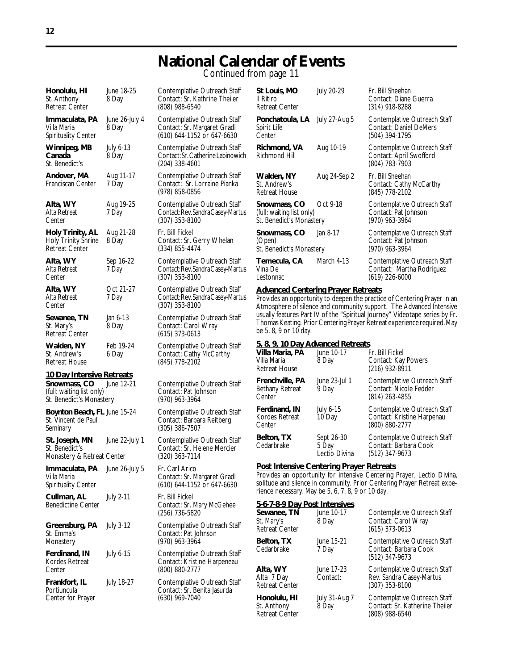### **National Calendar of Events** Continued from page 11

| Honolulu, HI<br>St. Anthony<br>Retreat Center                                                      | June 18-25<br>8 Day     | Contemplative Outreach Staff<br>Contact: Sr. Kathrine Theiler<br>$(808)$ 988-6540         |
|----------------------------------------------------------------------------------------------------|-------------------------|-------------------------------------------------------------------------------------------|
| Immaculata, PA<br>Villa Maria<br>Spirituality Center                                               | June 26-July 4<br>8 Day | Contemplative Outreach Staff<br>Contact: Sr. Margaret Gradl<br>(610) 644-1152 or 647-6630 |
| Winnipeg, MB<br>Canada<br>St. Benedict's                                                           | July 6-13<br>8 Day      | Contemplative Outreach Staff<br>Contact: Sr. Catherine Labinowid<br>(204) 338-4601        |
| Andover, MA<br>Franciscan Center                                                                   | Aug 11-17<br>7 Day      | Contemplative Outreach Staff<br>Contact: Sr. Lorraine Pianka<br>(978) 858-0856            |
| Alta, WY<br>Alta Retreat<br>Center                                                                 | Aug 19-25<br>7 Day      | Contemplative Outreach Staff<br>Contact: Rev. Sandra Casey-Mart<br>$(307)$ 353-8100       |
| Holy Trinity, AL<br><b>Holy Trinity Shrine</b><br>Retreat Center                                   | Aug 21-28<br>8 Day      | Fr. Bill Fickel<br>Contact: Sr. Gerry Whelan<br>$(334)$ 855-4474                          |
| Alta, WY<br>Alta Retreat<br>Center                                                                 | Sep 16-22<br>7 Day      | Contemplative Outreach Staff<br>Contact: Rev. Sandra Casey-Mart<br>$(307)$ 353-8100       |
| Alta, WY<br>Alta Retreat<br>Center                                                                 | Oct 21-27<br>7 Day      | Contemplative Outreach Staff<br>Contact: Rev. Sandra Casey-Marti<br>$(307)$ 353-8100      |
| Sewanee, TN<br>St. Mary's<br>Retreat Center                                                        | Jan 6-13<br>8 Day       | Contemplative Outreach Staff<br>Contact: Carol Wray<br>$(615)$ 373-0613                   |
| Walden, NY<br>St. Andrew's<br>Retreat House                                                        | Feb 19-24<br>6 Day      | Contemplative Outreach Staff<br>Contact: Cathy McCarthy<br>(845) 778-2102                 |
| 10 Day Intensive Retreats<br>Snowmass, CO<br>(full: waiting list only)<br>St. Benedict's Monastery | June 12-21              | Contemplative Outreach Staff<br>Contact: Pat Johnson<br>$(970)$ 963-3964                  |
| Boynton Beach, FL June 15-24<br>St. Vincent de Paul<br>Seminary                                    |                         | Contemplative Outreach Staff<br>Contact: Barbara Reitberg<br>$(305)$ 386-7507             |
| St. Joseph, MN<br>St. Benedict's<br>Monastery & Retreat Center                                     | June 22-July 1          | Contemplative Outreach Staff<br>Contact: Sr. Helene Mercier<br>(320) 363-7114             |
| Immaculata, PA June 26-July 5<br>Villa Maria<br>Spirituality Center                                |                         | Fr. Carl Arico<br>Contact: Sr. Margaret Gradl<br>(610) 644-1152 or 647-6630               |
| Cullman, AL<br>Benedictine Center                                                                  | <b>July 2-11</b>        | Fr. Bill Fickel<br>Contact: Sr. Mary McGehee<br>(256) 736-5820                            |
| Greensburg, PA<br>St. Emma's<br>Monastery                                                          | <b>July 3-12</b>        | Contemplative Outreach Staff<br>Contact: Pat Johnson<br>(970) 963-3964                    |
| Ferdinand, IN<br>Kordes Retreat<br>Center                                                          | July 6-15               | Contemplative Outreach Staff<br>Contact: Kristine Harpeneau<br>(800) 880-2777             |
| Frankfort, IL<br>Portiuncula                                                                       | July 18-27              | Contemplative Outreach Staff<br>Contact: Sr. Benita Jasurda                               |

Center for Prayer

Contact: Sr. Lorraine Pianka (978) 858-0856 **Contemplative Outreach Staff** Contact: Rev. Sandra Casey-Martu (307) 353-8100 **Fr. Bill Fickel** Contact: Sr. Gerry Whelan (334) 855-4474 **Contemplative Outreach Staff** Contact: Rev. Sandra Casey-Martus (307) 353-8100 **Contemplative Outreach Staff** Contact: Rev. Sandra Casey-Martu (307) 353-8100 **Contemplative Outreach Staff** Contact: Carol Wray (615) 373-0613 **Contemplative Outreach Staff** Contact: Cathy McCarthy (845) 778-2102 **Contemplative Outreach Staff** Contact: Pat Johnson (970) 963-3964 **Bootemplative Outreach Staff** Contact: Barbara Reitberg (305) 386-7507 y 1 Contemplative Outreach Staff Contact: Sr. Helene Mercier (320) 363-7114 **Immaculation** Fr. Carl Arico Contact: Sr. Margaret Gradl (610) 644-1152 or 647-6630 **Fr. Bill Fickel** Contact: Sr. Mary McGehee (256) 736-5820 **Contemplative Outreach Staff** Contact: Pat Johnson (970) 963-3964 **Contemplative Outreach Staff** Contact: Kristine Harpeneau (800) 880-2777 **Contemplative Outreach Staff** Contact: Sr. Benita Jasurda<br>(630) 969-7040

| Contemplative Outreach Staff<br>Contact: Sr. Kathrine Theiler<br>(808) 988-6540               | St Louis, MO<br>II Ritiro<br>Retreat Center                                                                                                                                                  | July 20-29                           | Fr. Bill Sheehan<br>Contact: Diane Guerra<br>$(314)$ 918-8288                                                                                          |
|-----------------------------------------------------------------------------------------------|----------------------------------------------------------------------------------------------------------------------------------------------------------------------------------------------|--------------------------------------|--------------------------------------------------------------------------------------------------------------------------------------------------------|
| Contemplative Outreach Staff<br>Contact: Sr. Margaret Gradl<br>(610) 644-1152 or 647-6630     | Ponchatoula, LA<br>July 27-Aug 5<br>Spirit Life<br>Center                                                                                                                                    |                                      | Contemplative Outreach Staff<br><b>Contact: Daniel DeMers</b><br>(504) 394-1795                                                                        |
| Contemplative Outreach Staff<br>Contact: Sr. Catherine Labinowich<br>(204) 338-4601           | Richmond, VA<br>Richmond Hill                                                                                                                                                                | Aug 10-19                            | Contemplative Outreach Staff<br>Contact: April Swofford<br>(804) 783-7903                                                                              |
| Contemplative Outreach Staff<br>Contact: Sr. Lorraine Pianka<br>(978) 858-0856                | Walden, NY<br>St. Andrew's<br><b>Retreat House</b>                                                                                                                                           | Aug 24-Sep 2                         | Fr. Bill Sheehan<br>Contact: Cathy McCarthy<br>(845) 778-2102                                                                                          |
| Contemplative Outreach Staff<br>Contact: Rev. Sandra Casey-Martus<br>$(307)$ 353-8100         | Snowmass, CO<br>(full: waiting list only)<br>St. Benedict's Monastery                                                                                                                        | Oct 9-18                             | Contemplative Outreach Staff<br>Contact: Pat Johnson<br>$(970)$ 963-3964                                                                               |
| Fr. Bill Fickel<br>Contact: Sr. Gerry Whelan<br>$(334)$ 855-4474                              | Snowmass, CO<br>(Open)<br>St. Benedict's Monastery                                                                                                                                           | Jan 8-17                             | Contemplative Outreach Staff<br>Contact: Pat Johnson<br>(970) 963-3964                                                                                 |
| Contemplative Outreach Staff<br>Contact: Rev. Sandra Casey-Martus<br>$(307)$ 353-8100         | Temecula, CA<br>Vina De<br>Lestonnac                                                                                                                                                         | March 4-13                           | Contemplative Outreach Staff<br>Contact: Martha Rodriguez<br>$(619)$ 226-6000                                                                          |
|                                                                                               | <b>Advanced Centering Prayer Retreats</b><br>Provides an opportunity to deepen the practice of Centering Prayer in an<br>Atmosphere of silence and community support. The Advanced Intensive |                                      |                                                                                                                                                        |
| Contemplative Outreach Staff<br>Contact: Rev. Sandra Casey-Martus<br>$(307)$ 353-8100         |                                                                                                                                                                                              |                                      |                                                                                                                                                        |
| Contemplative Outreach Staff<br>Contact: Carol Wray<br>$(615)$ 373-0613                       | be 5, 8, 9 or 10 day.                                                                                                                                                                        |                                      | usually features Part IV of the "Spiritual Journey" Videotape series by Fr.<br>Thomas Keating. Prior Centering Prayer Retreat experience required. May |
| Contemplative Outreach Staff<br>Contact: Cathy McCarthy<br>(845) 778-2102                     | 5, 8, 9, 10 Day Advanced Retreats<br>Villa Maria, PA<br>Villa Maria<br><b>Retreat House</b>                                                                                                  | June 10-17<br>8 Day                  | Fr. Bill Fickel<br>Contact: Kay Powers<br>$(216)$ 932-8911                                                                                             |
| Contemplative Outreach Staff<br>Contact: Pat Johnson                                          | Frenchville, PA<br>Bethany Retreat<br>Center                                                                                                                                                 | June 23-Jul 1<br>9 Day               | Contemplative Outreach Staff<br>Contact: Nicole Fedder<br>$(814)$ 263-4855                                                                             |
| (970) 963-3964<br>Contemplative Outreach Staff<br>Contact: Barbara Reitberg<br>(305) 386-7507 | Ferdinand, IN<br>Kordes Retreat<br>Center                                                                                                                                                    | July 6-15<br>10 Day                  | Contemplative Outreach Staff<br>Contact: Kristine Harpenau<br>(800) 880-2777                                                                           |
| Contemplative Outreach Staff<br>Contact: Sr. Helene Mercier<br>$(320)$ 363-7114               | Belton, TX<br>Cedarbrake                                                                                                                                                                     | Sept 26-30<br>5 Day<br>Lectio Divina | Contemplative Outreach Staff<br>Contact: Barbara Cook<br>$(512)$ 347-9673                                                                              |

solitude and silence in community. Prior Centering Prayer Retreat experience necessary. May be 5, 6, 7, 8, 9 or 10 day.

#### **5-6-7-8-9 Day Post Intensives**

| $3 - 0 - 1 - 0 - 7$ Day FUST INTERSIVES              |                               |                                                                                  |  |
|------------------------------------------------------|-------------------------------|----------------------------------------------------------------------------------|--|
| Sewanee, TN<br>St. Mary's<br><b>Retreat Center</b>   | June 10-17<br>8 Day           | Contemplative Outreach Staff<br>Contact: Carol Wray<br>$(615)$ 373-0613          |  |
| Belton, TX<br>Cedarbrake                             | June 15-21<br>7 Day           | Contemplative Outreach Staff<br>Contact: Barbara Cook<br>(512) 347-9673          |  |
| Alta, WY<br>Alta 7 Day<br><b>Retreat Center</b>      | June 17-23<br>Contact:        | Contemplative Outreach Staff<br>Rev. Sandra Casey-Martus<br>(307) 353-8100       |  |
| Honolulu, HI<br>St. Anthony<br><b>Retreat Center</b> | <b>July 31-Aug 7</b><br>8 Day | Contemplative Outreach Staff<br>Contact: Sr. Katherine Theiler<br>(808) 988-6540 |  |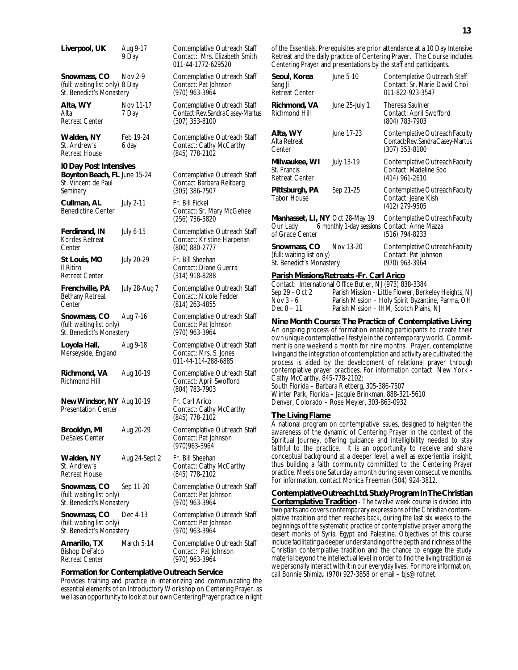| Liverpool, UK                                                               | Aug 9-17<br>9 Day  | Contemplative Outreach Staff<br>Contact: Mrs. Elizabeth Smith<br>011-44-1772-629520 |
|-----------------------------------------------------------------------------|--------------------|-------------------------------------------------------------------------------------|
| Snowmass, CO<br>(full: waiting list only) 8 Day<br>St. Benedict's Monastery | Nov 2-9            | Contemplative Outreach Staff<br>Contact: Pat Johnson<br>(970) 963-3964              |
| Alta, WY<br>Alta<br><b>Retreat Center</b>                                   | Nov 11-17<br>7 Day | Contemplative Outreach Staff<br>Contact: Rev. Sandra Casey-Martus<br>(307) 353-8100 |
| Walden, NY<br>St. Andrew's<br><b>Retreat House</b>                          | Feb 19-24<br>6 day | Contemplative Outreach Staff<br>Contact: Cathy McCarthy<br>(845) 778-2102           |
| <b>IO Day Post Intensives</b>                                               |                    |                                                                                     |
| Boynton Beach, FL June 15-24<br>St. Vincent de Paul<br>Seminary             |                    | Contemplative Outreach Staff<br>Contact Barbara Reitberg<br>(305) 386-7507          |
| Cullman, AL<br><b>Benedictine Center</b>                                    | <b>July 2-11</b>   | Fr. Bill Fickel<br>Contact: Sr. Mary McGehee<br>(256) 736-5820                      |
| Ferdinand, IN<br>Kordes Retreat<br>Center                                   | July 6-15          | Contemplative Outreach Staff<br>Contact: Kristine Harpenan<br>(800) 880-2777        |
| St Louis, MO<br>Il Ritiro<br>Retreat Center                                 | July 20-29         | Fr. Bill Sheehan<br>Contact: Diane Guerra<br>$(314)$ 918-8288                       |
| Frenchville, PA<br>Bethany Retreat<br>Center                                | July 28-Aug 7      | Contemplative Outreach Staff<br>Contact: Nicole Fedder<br>(814) 263-4855            |
| Snowmass, CO<br>(full: waiting list only)<br>St. Benedict's Monastery       | Aug 7-16           | Contemplative Outreach Staff<br>Contact: Pat Johnson<br>(970) 963-3964              |
| Loyola Hall,<br>Merseyside, England                                         | Aug 9-18           | Contemplative Outreach Staff<br>Contact: Mrs. S. Jones<br>011-44-114-288-6885       |
| Richmond, VA<br><b>Richmond Hill</b>                                        | Aug 10-19          | Contemplative Outreach Staff<br>Contact: April Swofford<br>(804) 783-7903           |
| New Windsor, NY Aug 10-19<br><b>Presentation Center</b>                     |                    | Fr. Carl Arico<br>Contact: Cathy McCarthy<br>(845) 778-2102                         |
| Brooklyn, MI<br>DeSales Center                                              | Aug 20-29          | Contemplative Outreach Staff<br>Contact: Pat Johnson<br>(970) 963-3964              |
| Walden, NY<br>St. Andrew's<br><b>Retreat House</b>                          | Aug 24-Sept 2      | Fr. Bill Sheehan<br>Contact: Cathy McCarthy<br>(845) 778-2102                       |
| Snowmass, CO<br>(full: waiting list only)<br>St. Benedict's Monastery       | Sep 11-20          | Contemplative Outreach Staff<br>Contact: Pat Johnson<br>(970) 963-3964              |
| Snowmass, CO<br>(full: waiting list only)<br>St. Benedict's Monastery       | Dec 4-13           | Contemplative Outreach Staff<br>Contact: Pat Johnson<br>(970) 963-3964              |
| Amarillo, TX<br><b>Bishop DeFalco</b><br><b>Retreat Center</b>              | March 5-14         | Contemplative Outreach Staff<br>Contact: Pat Johnson<br>(970) 963-3964              |

#### **Formation for Contemplative Outreach Service**

Provides training and practice in interiorizing and communicating the essential elements of an Introductory Workshop on Centering Prayer, as well as an opportunity to look at our own Centering Prayer practice in light of the Essentials. Prerequisites are prior attendance at a 10 Day Intensive Retreat and the daily practice of Centering Prayer. The Course includes Centering Prayer and presentations by the staff and participants.

| Seoul, Korea<br>Sang Ji<br><b>Retreat Center</b>                                       | June 5-10      | Contemplative Outreach Staff<br>Contact: Sr. Marie David Choi<br>011-822-923-3547                         |
|----------------------------------------------------------------------------------------|----------------|-----------------------------------------------------------------------------------------------------------|
| Richmond, VA<br><b>Richmond Hill</b>                                                   | June 25-July 1 | <b>Theresa Saulnier</b><br>Contact: April Swofford<br>(804) 783-7903                                      |
| Alta, WY<br>Alta Retreat<br>Center                                                     | June 17-23     | Contemplative Outreach Faculty<br>Contact: Rev. Sandra Casey-Martus<br>(307) 353-8100                     |
| Milwaukee, WI<br>St. Francis<br><b>Retreat Center</b>                                  | July 13-19     | Contemplative Outreach Faculty<br>Contact: Madeline Soo<br>(414) 961-2610                                 |
| Pittsburgh, PA<br><b>Tabor House</b>                                                   | Sep 21-25      | Contemplative Outreach Faculty<br>Contact: Jeane Kish<br>(412) 279-9505                                   |
| Manhasset, LI, NY Oct 28-May 19<br>of Grace Center                                     |                | Contemplative Outreach Faculty<br>Our Lady 6 monthly 1-day sessions Contact: Anne Mazza<br>(516) 794-8233 |
| <b>Snowmass, CO</b> Nov 13-20<br>(full: waiting list only)<br>St. Benedict's Monastery |                | Contemplative Outreach Faculty<br>Contact: Pat Johnson<br>(970) 963-3964                                  |
|                                                                                        |                |                                                                                                           |

#### **Parish Missions/Retreats -Fr. Carl Arico**

|                | Contact: International Office Butler, NJ (973) 838-3384 |
|----------------|---------------------------------------------------------|
| Sep 29 - Oct 2 | Parish Mission – Little Flower, Berkeley Heights, NJ    |
| Nov 3 - 6      | Parish Mission - Holy Spirit Byzantine, Parma, OH       |
| Dec 8 – 11     | Parish Mission - IHM, Scotch Plains, NJ                 |

#### **Nine Month Course: The Practice of Contemplative Living**

An ongoing process of formation enabling participants to create their own unique contemplative lifestyle in the contemporary world. Commitment is one weekend a month for nine months. Prayer, contemplative living and the integration of contemplation and activity are cultivated; the process is aided by the development of relational prayer through contemplative prayer practices. For information contact New York - Cathy McCarthy, 845-778-2102;

South Florida – Barbara Rietberg, 305-386-7507 Winter Park, Florida – Jacquie Brinkman, 888-321-5610 Denver, Colorado – Rose Meyler, 303-863-0932

#### **The Living Flame**

A national program on contemplative issues, designed to heighten the awareness of the dynamic of Centering Prayer in the context of the Spiritual Journey, offering guidance and intelligibility needed to stay faithful to the practice. It is an opportunity to receive and share conceptual background at a deeper level, a well as experiential insight, thus building a faith community committed to the Centering Prayer practice. Meets one Saturday a month during seven consecutive months. For information, contact Monica Freeman (504) 924-3812.

**Contemplative Outreach Ltd. Study Program In The Christian Contemplative Tradition** - The twelve week course is divided into two parts and covers contemporary expressions of the Christian contemplative tradition and then reaches back, during the last six weeks to the beginnings of the systematic practice of contemplative prayer among the desert monks of Syria, Egypt and Palestine. Objectives of this course include facilitating a deeper understanding of the depth and richness of the Christian contemplative tradition and the chance to engage the study material beyond the intellectual level in order to find the living tradition as we personally interact with it in our everyday lives. For more information, call Bonnie Shimizu (970) 927-3858 or email – bjs@rof.net.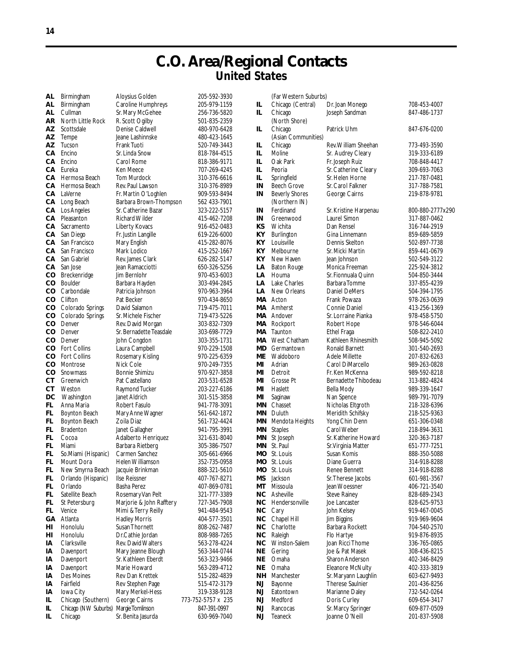## **C.O. Area/Regional Contacts United States**

| AL.     | Birmingham           | Aloy             |
|---------|----------------------|------------------|
| AL      | Birmingham           | Carc             |
| AL      | Cullman              | Sr. M            |
| AR      | North Little Rock    | R. Sc            |
| AΖ      | Scottsdale           | Deni             |
| AΖ      | Tempe                | Jeane            |
| AΖ      | Tucson               | Franl            |
| СA      | Encino               | Sr. Li           |
|         |                      |                  |
| CА      | Encino               | Carc             |
| CА      | Eureka               | Ken              |
| CА      | Hermosa Beach        | Tom              |
| CА      | Hermosa Beach        | Rev.             |
| CA      | LaVerne              | Fr. M            |
| CА      | Long Beach           | Barb             |
| CА      | Los Angeles          | Sr. C            |
| CА      | Pleasanton           | Richa            |
| CА      | Sacramento           | Liber            |
| CA      | San Diego            | Fr. Ju           |
| CА      | San Francisco        | Mary             |
| CА      | San Francisco        | Mark             |
|         |                      | Rev.             |
| CА      | San Gabriel          |                  |
| CА      | San Jose             | Jean             |
| $\circ$ | Breckenridge         | Jim E            |
| CO      | Boulder              | Barb             |
| cо      | Carbondale           | Patri            |
| со      | Clifton              | Pat E            |
| со      | Colorado Springs     | Davi             |
| $\circ$ | Colorado Springs     | Sr. M            |
| cо      | Denver               | Rev.             |
| cо      | Denver               | Sr. B(           |
| cо      | Denver               | John             |
| cо      | Fort Collins         | Laur             |
| cо      | Fort Collins         | Rose             |
| cо      |                      |                  |
|         | Montrose             | Nick             |
| cо      | Snowmass             | Bonr             |
| $c\tau$ | Greenwich            | Pat (            |
| CТ      | Weston               | Rayn             |
| DС      | Washington           | Janet            |
| FL      | Anna Maria           | <b>Robe</b>      |
| FL      | Boynton Beach        | Mar <sub>)</sub> |
| FL      | <b>Boynton Beach</b> | Zoila            |
| FL      | <b>Bradenton</b>     | Janet            |
| FL      | Cocoa                | Adal             |
| FL      | Miami                | Barb             |
| FL      | So.Miami (Hispanic)  | Carr             |
| FL      | Mount Dora           | Hele             |
| FL      | New Smyrna Beach     | Jacqu            |
| FL      | Orlando (Hispanic)   | llse F           |
| FL      |                      |                  |
|         | Orlando              | Bash             |
| FL      | Satellite Beach      | Rose             |
| FL      | St Petersburg        | Marj             |
| FL      | Venice               | Mimi             |
| GА      | Atlanta              | Hadl             |
| HI      | Honolulu             | Susai            |
| HI      | Honolulu             | Dr.C             |
| IA      | Clarksville          | Rev.             |
| I٨      | Davenport            | Mar <sub>)</sub> |
| IA      | Davenport            | Sr. K            |
| IA      | Davenport            | Mari             |
| IA      | Des Moines           | Rev              |
| IA      | Fairfield            | Rev:             |
|         |                      |                  |
| IA      | Iowa City            | Mar <sub>)</sub> |
| IL      | Chicago (Southern)   | Geo              |
| IL.     | Chicago (NW Suburbs) | Marg             |

**AL** Birmingham Aloysius Golden 205-592-3930 19 Aline Humphreys 205-979-1159<br>Mary McGehee 256-736-5820 lary McGehee<br>:ott Ogilby **AZ** Scottsdale Caldwell **480-970-6428 AZ** Tempe Jeane Lashinnske 480-423-1645 k Tuoti **1200-749-3443** nda Snow 818-784-4515<br>۱ Rome 818-386-9171 **Meece** 707-269-4245 **Murdock** 310-376-6616<br> **Paul Lawson** 310-376-8989 Paul Lawson <sup>310-376-8989<br>Iartin O'Loghlen <sup>909-593-8494</sup></sup> lartin O'Loghlen ara Brown-Thompson 562 433-7901 atherine Bazar 323-222-5157 ard Wilder 415-462-7208 **CA** Sacramento Liberty Kovacs 916-452-0483 cap 619-226-6000 <mark>619-226</mark><br>Figlish 619-282-8076 وy English **CA** San Francisco Mary English 415-282-8076 **James Clark 626-282-5147** Ramacciotti 650-326-5256 er<mark>nlohr 970-453-6003</mark><br>1970-453-6003 ara Hayden **Carbon 570-963-3964 Cooker 2012** 120434-8650 d Salamon <mark>719-475-7011</mark><br>Iichele Fischer 719-473-5226 **David Morgan** ernadette Teasdale 303-698-7729 Congdon 303-355-1731<br>a Campbell 370-229-1508 **CO** Fort Collins Rosemary Kisling 970-225-6359 **CO** Snowmass Bonnie Shimizu 970-927-3858 **COMPOON Tucker 203-227-6186** لاء 1 Aldrich 1915-3858<br>1941-778-3091 مورد 1941 **Anne Wagner FL** Boynton Beach Zoila Diaz 561-732-4424 **FL** Bradenton Janet Gallagher 941-795-3991 **FRANDIDE COCOCO BEE OF THE CORO ADALBERT**<br>FRAND COCO 2015-386-7507 **Fara Rietberg FL** So.Miami (Hispanic) Carmen Sanchez 305-661-6966 **FL** Mount Dora Helen Williamson 352-735-0958 **FL** New Smyrna Beach Jacquie Brinkman 888-321-5610 ra Perez **407-869-0781 FL** Satellite Beach Rosemary Van Pelt 321-777-3389 **France & John Rafftery FL** Venice Mimi & Terry Reilly 941-484-9543 **GA** Atlanta Hadley Morris 404-577-3501 athie Jordan 808-988-7265<sup>.</sup><br>David Walters 808-278-4224 **David Walters** y Jeanne Blough 563-344-0744 **IA** Davenport Sr. Kathleen Eberdt 563-323-9466 Dan Krettek 515-282-4839 **I** Stephen Page 515-472-3179 **IA** Iowa City Mary Merkel-Hess 319-338-9128 **IR Cairns 6-8 173-752-5757 x**<br>**I**eTomlinson 647-391-0997 **IL** Chicago Sr. Benita Jasurda 630-969-7040

**AR** North Little Rock R. Scott Ogilby 501-835-2359 **CA** Encino Carol Rome 818-386-9171 **CA** San Francisco Mark Lodico 415-252-1667 **CO** Boulder Barbara Hayden 303-494-2845 719-473-5226<br>303-832-7309 **CO** Fort Collins Laura Campbell 970-229-1508 **CO** Montrose Nick Cole 970-249-7355 **CT** Greenwich Pat Castellano 203-531-6528 **941-778-3091**<br>561-642-1872 **FL** Orlando (Hispanic) Ilse Reissner 407-767-8271 **HI** Honolulu Susan Thornett 808-262-7487 **IA** Davenport Marie Howard 563-289-4712 **IL** Chicago (NW Suburbs) Margie Tomlinson 847-391-0997

|           | (Far Western Su                      |
|-----------|--------------------------------------|
| IL        | Chicago (Centr                       |
| IL        | Chicago                              |
|           | (North Shore)                        |
| IL        | Chicago                              |
|           | (Asian Commur                        |
| IL        | Chicago                              |
| IL        | Moline                               |
| IL        | Oak Park                             |
| IL        | Peoria                               |
| IL.       | Springfield                          |
| IN        | Beech Grove<br><b>Beverly Shores</b> |
| ΙN        |                                      |
|           | (Northern IN)<br>Ferdinand           |
| ΙN<br>ΙN  | Greenwood                            |
| ΚS        | Wichita                              |
| ΚY        | Burlington                           |
| ΚY        | Louisville                           |
| KΥ        | Melbourne                            |
| ΚY        | New Haven                            |
| LA        | <b>Baton Rouge</b>                   |
| LA        | Houma                                |
| LA        | Lake Charles                         |
| LA        | New Orleans                          |
| MА        | Acton                                |
| MА        | Amherst                              |
| MА        | Andover                              |
| МA        | Rockport                             |
| МA        | Taunton                              |
| MА        | West Chatham                         |
| MD        | Germantown                           |
| МE        | Waldoboro                            |
| MI        | Adrian                               |
| MI        | Detroit                              |
| MI        | Grosse Pt                            |
| MI        | Haslett                              |
| MI        | Saginaw                              |
| ΜN        | Chasset                              |
| ΜN        | Duluth<br>Mendota Heigh              |
| ΜN        |                                      |
| ΜN        | <b>Staples</b><br>St Joseph          |
| ΜN<br>ΜN  | St. Paul                             |
| MO        | St. Louis                            |
| MО        | St. Louis                            |
| МO        | St. Louis                            |
| MS        | Jackson                              |
| МT        | Missoula                             |
| ΝC        | Asheville                            |
| NC        | Hendersonville                       |
| <b>NC</b> |                                      |
| <b>NC</b> | Cary<br>Chapel Hill                  |
| <b>NC</b> | Charlotte                            |
| <b>NC</b> | Raleigh                              |
| NС        | Winston-Salem                        |
| NE        | Gering                               |
| ΝE        | Omaha                                |
| NE        | Omaha                                |
| NΗ        | Manchester                           |
| NJ        | Bayonne                              |
| NJ        | Eatontown                            |
| NJ        | Medford                              |
| NJ<br>MI  | Rancocas<br>Taanack                  |
|           |                                      |

uburbs) al) Dr. Joan Monego 708-453-4007 **Ioseph Sandman** 847-486-1737 **Patrick Uhm 847-676-0200** (nities **Rev. William Sheehan 773-493-3590 IL Moline Sr. Audrey Cleary 519-333-6189<br>
<b>ILL Moline Sr. 108-848-4417 Fr. Joseph Ruiz Sr. Catherine Cleary 309-693-7063 ILCO Sr. Helen Horne 217-787-0481<br>
<b>ILCO SPRINGER**<br> **ILCO SPRINGER**<br> **ILCO SPRINGER**<br> **ILCO SPRINGER In** Sr. Carol Falkner 317-788-7581<br> **In** George Cairns 319-878-9781 **George Cairns Sr. Kristine Harpenau 800-880-2777x290** Laurel Simon 317-887-0462 **Can Rensel 316-744-2919 Kyrlington Gina Linnemann** 859-689-5859 **Example Dennis Skelton 502-897-7738**<br>Sr. Micki Martin 659-441-0679 **Sr. Micki Martin Jean Johnson** 502-549-3122 **Monica Freeman 225-924-3812<br>
<b>Sr. Fionnuala Quinn** 504-850-3444 **Sr. Fionnuala Quinn 504-850-3444<br>
<b>LA** Barbara Tomme 537-855-4239 **Barbara Tomme Daniel DeMers** 504-394-1795 **Frank Powaza** 978-263-0639 **Connie Daniel 113-256-1369**<br>
Sr. Lorraine Pianka **1298-458-5750 Sr. Lorraine Pianka** 978-458-5750<br>Robert Hope 978-546-6044 **Robert Hope** Ethel Fraga 508-822-2410<br>Kathleen Rhinesmith 508-945-5092 Kathleen Rhinesmith 508-945-5092<br>Ronald Barnett 501-540-2693 **Ronald Barnett Adele Millette 207-832-6263**<br>Carol DiMarcello 289-263-0828 **Carol DiMarcello MI** Detroit Fr. Ken McKenna 989-592-8218 Bernadette Thibodeau 313-882-4824 **Bella Mody** 989-339-1647 **Nan Spence** 989-791-7079<br> **Nicholas Eltaroth** 218-328-6396 **Nicholas Eltgroth** 218-328-6396<br>Meridith Schifsky 218-525-9363 **Meridith Schifsky Manus Yong Chin Denn 651-306-0348**<br>Carol Weber 618-218-894-3631 218-894-3631<br>320-363-7187 **Sr. Katherine Howard 320-363-7187**<br>**Sr Virginia Matter** 651-777-7251 Sr. Virginia Matter **Susan Komis** 888-350-5088 Diane Guerra 314-918-8288 **Mooney Senson Renee Bennett** 314-918-8288<br>Sr. Therese Jacobs 301-981-3567 **Sr. Therese Jacobs Jean Woessner** 406-721-3540 **Steve Rainey 828-689-2343 Joe Lancaster 828-625-9753 John Kelsey 1919-467-0045**<br>Jim Biggins 1919-969-9604 **1** Jim Biggins 919-969-9604<br>Barbara Rockett 704-540-2570 **Barbara Rockett Flo Hartye 1919-876-8935**<br>Joan Ricci Thome 1936-765-0865 **Joan Ricci Thome Joe & Pat Masek 308-436-8215 Sharon Anderson** 402-346-8429<br>**Eleanore McNulty** 402-333-3819 **Eleanore McNulty** Sr. Maryann Laughlin 603-627-9493 **Therese Saulnier 201-436-8256** Marianne Daley 732-542-0264 **Number 2015** Curley 609-654-3417<br> **NALL ST. Marcy Springer 609-877-0509 Sr. Marcy Springer NJ** Teaneck Joanne O'Neill 201-837-5908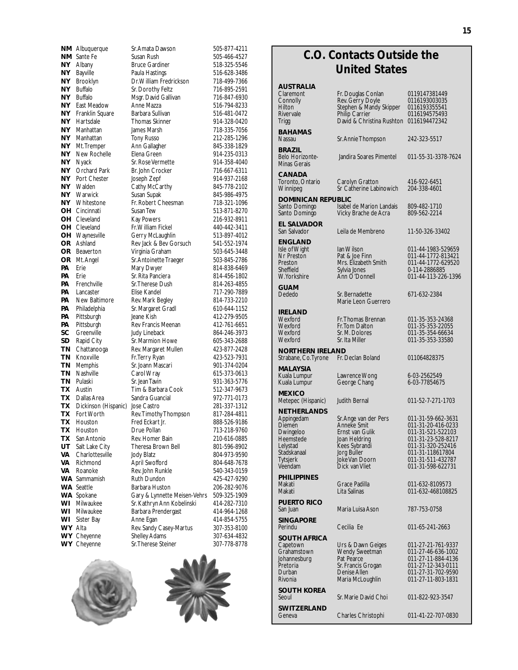|                  | NM Albuquerque                      | Sr. Amata Dawson                         | 505-877-4211                 |
|------------------|-------------------------------------|------------------------------------------|------------------------------|
| NM               | Sante Fe                            | Susan Rush                               | 505-466-4527                 |
| NY.              | Albany                              | <b>Bruce Gardiner</b>                    | 518-325-5546                 |
| NY               | Bayville                            | Paula Hastings                           | 516-628-3486                 |
| NY.              | Brooklyn                            | Dr. William Fredrickson                  | 718-499-7366                 |
| NΥ               | <b>Buffalo</b>                      | Sr. Dorothy Feltz                        | 716-895-2591                 |
| NΥ               | <b>Buffalo</b>                      | Msgr. David Gallivan                     | 716-847-6930                 |
| NΥ<br>NY         | East Meadow<br>Franklin Square      | Anne Mazza<br>Barbara Sullivan           | 516-794-8233<br>516-481-0472 |
| NY.              | Hartsdale                           | <b>Thomas Skinner</b>                    | 914-328-0420                 |
| NΥ               | Manhattan                           | James Marsh                              | 718-335-7056                 |
| NΥ               | Manhattan                           | <b>Tony Russo</b>                        | 212-285-1296                 |
| NY.              | Mt. Tremper                         | Ann Gallagher                            | 845-338-1829                 |
| NΥ               | New Rochelle                        | Elena Green                              | 914-235-0313                 |
| NY.              | Nyack                               | Sr. Rose Vermette                        | 914-358-4040                 |
| NΥ               | Orchard Park                        | Br. John Crocker                         | 716-667-6311                 |
| NΥ               | Port Chester                        | Joseph Zepf                              | 914-937-2168                 |
| ΝY               | Walden                              | Cathy McCarthy                           | 845-778-2102                 |
| NY.<br>NY.       | Warwick<br>Whitestone               | Susan Supak<br>Fr. Robert Cheesman       | 845-986-4975<br>718-321-1096 |
| OH.              | Cincinnati                          | Susan Tew                                | 513-871-8270                 |
|                  | OH Cleveland                        | <b>Kay Powers</b>                        | 216-932-8911                 |
| OH               | Cleveland                           | Fr. William Fickel                       | 440-442-3411                 |
| <b>OH</b>        | Waynesville                         | Gerry McLaughlin                         | 513-897-4012                 |
| OR.              | Ashland                             | Rev Jack & Bev Gorsuch                   | 541-552-1974                 |
| <b>OR</b>        | Beaverton                           | Virginia Graham                          | 503-645-3448                 |
| OR.<br><b>PA</b> | Mt. Angel<br>Erie                   | Sr. Antoinette Traeger                   | 503-845-2786<br>814-838-6469 |
| PA               | Erie                                | Mary Dwyer<br>Sr. Rita Panciera          | 814-456-1802                 |
| PА               | Frenchville                         | Sr. Therese Dush                         | 814-263-4855                 |
| <b>PA</b>        | Lancaster                           | Elise Kandel                             | 717-290-7889                 |
| PА               | New Baltimore                       | Rev. Mark Begley                         | 814-733-2210                 |
| РA               | Philadelphia                        | Sr. Margaret Gradl                       | 610-644-1152                 |
| PA               | Pittsburgh                          | Jeane Kish                               | 412-279-9505                 |
| РA<br>SC         | Pittsburgh                          | Rev Francis Meenan                       | 412-761-6651<br>864-246-3973 |
| SD               | Greenville<br>Rapid City            | Judy Lineback<br>Sr. Marmion Howe        | 605-343-2688                 |
| ΤN               | Chattanooga                         | Rev. Margaret Mullen                     | 423-877-2428                 |
| <b>TN</b>        | Knoxville                           | Fr. Terry Ryan                           | 423-523-7931                 |
| TN               | Memphis                             | Sr. Joann Mascari                        | 901-374-0204                 |
| ΤN               | Nashville                           | Carol Wray                               | 615-373-0613                 |
| <b>TN</b>        | Pulaski                             | Sr. Jean Tavin                           | 931-363-5776                 |
| TX               | Austin                              | Tim & Barbara Cook                       | 512-347-9673                 |
| <b>TX</b><br>TX. | Dallas Area<br>Dickinson (Hispanic) | Sandra Guancial<br>Jose Castro           | 972-771-0173<br>281-337-1312 |
| TX               | Fort Worth                          | Rev. Timothy Thompson                    | 817-284-4811                 |
| <b>TX</b>        | Houston                             | Fred Eckart Jr.                          | 888-526-9186                 |
| TX               | Houston                             | Drue Pollan                              | 713-218-9760                 |
| <b>TX</b>        | San Antonio                         | Rev. Homer Bain                          | 210-616-0885                 |
| UT               | Salt Lake City                      | Theresa Brown Bell                       | 801-596-8902                 |
| Va               | Charlottesville                     | Jody Blatz                               | 804-973-9590                 |
| VA<br>VA         | Richmond<br>Roanoke                 | April Swofford<br>Rev. John Runkle       | 804-648-7678<br>540-343-0159 |
|                  | <b>WA</b> Sammamish                 | Ruth Dundon                              | 425-427-9290                 |
|                  | <b>WA</b> Seattle                   | Barbara Huston                           | 206-282-9076                 |
|                  | <b>WA</b> Spokane                   | Gary & Lynnette Meisen-Vehrs             | 509-325-1909                 |
| WI               | Milwaukee                           | Sr. Kathryn Ann Kobelinski               | 414-282-7310                 |
| WI               | Milwaukee                           | Barbara Prendergast                      | 414-964-1268                 |
| WI               | Sister Bay                          | Anne Egan                                | 414-854-5755                 |
| <b>WY Alta</b>   | WY Cheyenne                         | Rev. Sandy Casey-Martus<br>Shelley Adams | 307-353-8100<br>307-634-4832 |
|                  | WY Cheyenne                         | Sr. Therese Steiner                      | 307-778-8778                 |
|                  |                                     |                                          |                              |





## **C.O. Contacts Outside the United States**

| AUSTRALIA<br>Claremont<br>Connolly<br>Hilton<br>Rivervale<br>Trigg                                                     | Fr. Douglas Conlan<br>Rev. Gerry Doyle<br>Stephen & Mandy Skipper<br>Philip Carrier<br>David & Christina Rushton                             | 0119147381449<br>0116193003035<br>0116193355541<br>0116194575493<br>0116194472342                                                                                      |
|------------------------------------------------------------------------------------------------------------------------|----------------------------------------------------------------------------------------------------------------------------------------------|------------------------------------------------------------------------------------------------------------------------------------------------------------------------|
| BAHAMAS<br>Nassau                                                                                                      | Sr. Annie Thompson                                                                                                                           | 242-323-5517                                                                                                                                                           |
| <b>BRAZIL</b><br>Belo Horizonte-<br><b>Minas Gerais</b>                                                                | Jandira Soares Pimentel                                                                                                                      | 011-55-31-3378-7624                                                                                                                                                    |
| <b>CANADA</b><br>Toronto, Ontario<br>Winnipeg                                                                          | Carolyn Gratton<br>Sr Catherine Labinowich                                                                                                   | 416-922-6451<br>204-338-4601                                                                                                                                           |
| <b>DOMINICAN REPUBLIC</b><br>Santo Domingo                                                                             | Isabel de Marion Landais                                                                                                                     | 809-482-1710                                                                                                                                                           |
| Santo Domingo                                                                                                          | Vicky Brache de Acra                                                                                                                         | 809-562-2214                                                                                                                                                           |
| <b>EL SALVADOR</b><br>San Salvador                                                                                     | Leila de Membreno                                                                                                                            | 11-50-326-33402                                                                                                                                                        |
| ENGLAND<br>Isle of Wight<br>Nr Preston<br>Preston<br>Sheffield<br>W.Yorkshire                                          | lan Wilson<br>Pat & Joe Finn<br>Mrs. Elizabeth Smith<br>Sylvia Jones<br>Ann O'Donnell                                                        | 011-44-1983-529659<br>011-44-1772-813421<br>011-44-1772-629520<br>0-114-2886885<br>011-44-113-226-1396                                                                 |
| GUAM<br>Dededo                                                                                                         | Sr. Bernadette<br>Marie Leon Guerrero                                                                                                        | 671-632-2384                                                                                                                                                           |
| IRELAND<br>Wexford<br>Wexford<br>Wexford<br>Wexford                                                                    | Fr. Thomas Brennan<br>Fr. Tom Dalton<br>Sr. M. Dolores<br>Sr. Ita Miller                                                                     | 011-35-353-24368<br>011-35-353-22055<br>011-35-354-66634<br>011-35-353-33580                                                                                           |
| <b>NORTHERN IRELAND</b><br>Strabane, Co. Tyrone                                                                        | Fr. Declan Boland                                                                                                                            | 011064828375                                                                                                                                                           |
| MALAYSIA<br>Kuala Lumpur<br>Kuala Lumpur                                                                               | Lawrence Wong<br>George Chang                                                                                                                | 6-03-2562549<br>6-03-77854675                                                                                                                                          |
| <b>MEXICO</b><br>Metepec (Hispanic)                                                                                    | <b>Judith Bernal</b>                                                                                                                         | 011-52-7-271-1703                                                                                                                                                      |
| <b>NETHERLANDS</b><br>Appingedam<br>Diemen<br>Dwingeloo<br>Heemstede<br>Lelystad<br>Stadskanaal<br>Tytsjerk<br>Veendam | Sr. Ange van der Pers<br>Anneke Smit<br>Ernst van Gulik<br>Joan Heldring<br>Kees Sybrandi<br>Jorg Buller<br>Joke Van Doorn<br>Dick van Vliet | 011-31-59-662-3631<br>011-31-20-416-0233<br>011-31-521-522103<br>011-31-23-528-8217<br>011-31-320-252416<br>011-31-118617804<br>011-31-511-432787<br>011-31-598-622731 |
| <b>PHILIPPINES</b><br>Makati<br>Makati                                                                                 | Grace Padilla<br>Lita Salinas                                                                                                                | 011-632-8109573<br>011-632-468108825                                                                                                                                   |
| <b>PUERTO RICO</b><br>San Juan                                                                                         | Maria Luisa Ason                                                                                                                             | 787-753-0758                                                                                                                                                           |
| SINGAPORE<br>Perindu                                                                                                   | Cecilia Ee                                                                                                                                   | 011-65-241-2663                                                                                                                                                        |
| <b>SOUTH AFRICA</b><br>Capetown<br>Grahamstown<br>Johannesburg<br>Pretoria<br>Durban<br>Rivonia                        | Urs & Dawn Geiges<br>Wendy Sweetman<br>Pat Pearce<br>Sr. Francis Grogan<br>Denise Allen<br>Maria McLoughlin                                  | 011-27-21-761-9337<br>011-27-46-636-1002<br>011-27-11-884-4136<br>011-27-12-343-0111<br>011-27-31-702-9590<br>011-27-11-803-1831                                       |
| <b>SOUTH KOREA</b><br>Seoul                                                                                            | Sr. Marie David Choi                                                                                                                         | 011-822-923-3547                                                                                                                                                       |
| SWITZERLAND<br>Geneva                                                                                                  | Charles Christophi                                                                                                                           | 011-41-22-707-0830                                                                                                                                                     |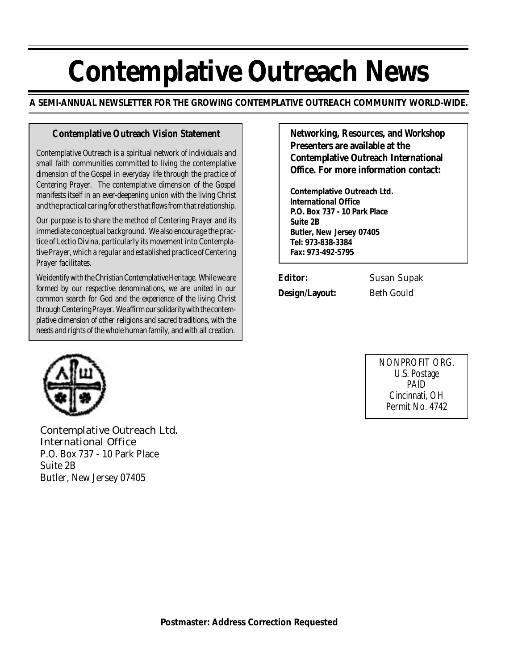# **Contemplative Outreach News**

**A SEMI-ANNUAL NEWSLETTER FOR THE GROWING CONTEMPLATIVE OUTREACH COMMUNITY WORLD-WIDE.**

#### **Contemplative Outreach Vision Statement**

*Contemplative Outreach is a spiritual network of individuals and small faith communities committed to living the contemplative dimension of the Gospel in everyday life through the practice of Centering Prayer. The contemplative dimension of the Gospel manifests itself in an ever-deepening union with the living Christ and the practical caring for others that flows from that relationship.*

*Our purpose is to share the method of Centering Prayer and its immediate conceptual background. We also encourage the practice of Lectio Divina, particularly its movement into Contemplative Prayer, which a regular and established practice of Centering Prayer facilitates.*

*We identify with the Christian Contemplative Heritage. While we are formed by our respective denominations, we are united in our common search for God and the experience of the living Christ through Centering Prayer. We affirm our solidarity with the contemplative dimension of other religions and sacred traditions, with the needs and rights of the whole human family, and with all creation.*

**Networking, Resources, and Workshop Presenters are available at the Contemplative Outreach International Office. For more information contact:**

**Contemplative Outreach Ltd. International Office P.O. Box 737 - 10 Park Place Suite 2B Butler, New Jersey 07405 Tel: 973-838-3384 Fax: 973-492-5795**

**Editor:** Susan Supak

**Design/Layout:** Beth Gould

NONPROFIT ORG. U.S. Postage PAID Cincinnati, OH Permit No. 4742



Contemplative Outreach Ltd. International Office P.O. Box 737 - 10 Park Place Suite 2B Butler, New Jersey 07405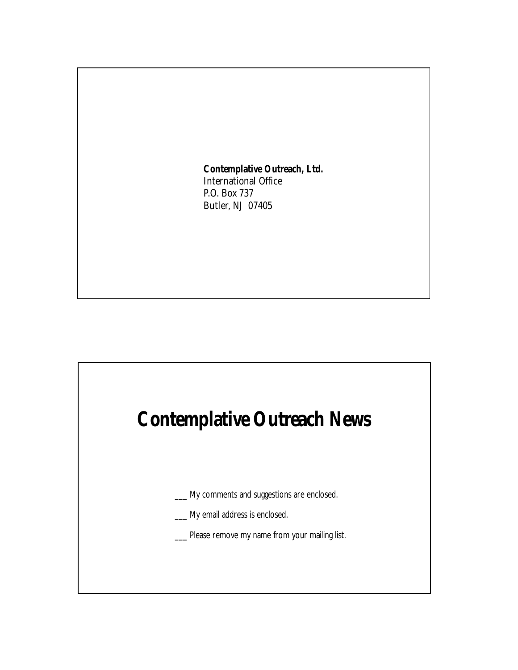**Contemplative Outreach, Ltd.** International Office P.O. Box 737 Butler, NJ 07405